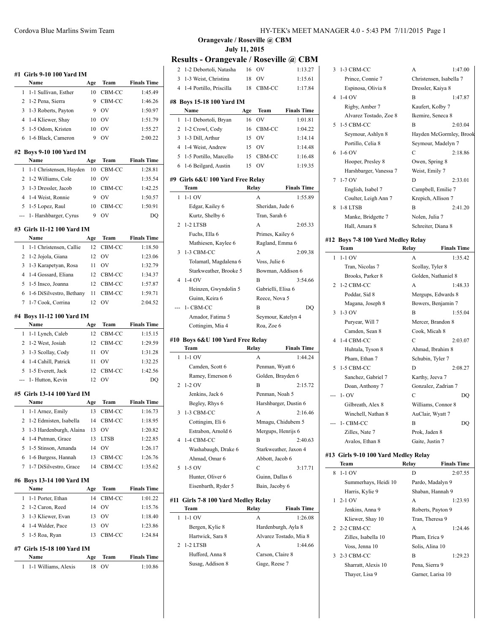## **#1 Girls 9-10 100 Yard IM**

| Name                   | Age | Team              | <b>Finals Time</b> |
|------------------------|-----|-------------------|--------------------|
| 1 1-1 Sullivan, Esther | 10  | CBM-CC            | 1:45.49            |
| 2 1-2 Pena, Sierra     |     | CBM-CC            | 1:46.26            |
| 3 1-3 Roberts, Payton  |     | $\alpha$          | 1:50.97            |
| 4 1-4 Kliewer, Shay    | 10  | OV                | 1:51.79            |
| 5 1-5 Odom, Kristen    | 10  | OV                | 1:55.27            |
| 6 1-6 Black, Cameron   |     | $^{\prime\prime}$ | 2:00.22            |
|                        |     |                   |                    |

## **#2 Boys 9-10 100 Yard IM**

|  | <b>Name</b>               | Age | Team      | <b>Finals Time</b> |
|--|---------------------------|-----|-----------|--------------------|
|  | 1 1-1 Christensen, Hayden |     | 10 CBM-CC | 1:28.81            |
|  | 2 1-2 Williams, Cole      | 10  | OV        | 1:35.54            |
|  | 3 1-3 Dressler, Jacob     | 10  | CBM-CC    | 1:42.25            |
|  | 4 1-4 Weist, Ronnie       |     | OV        | 1:50.57            |
|  | 5 1-5 Lopez, Raul         | 10  | CBM-CC    | 1:50.91            |
|  | --- 1- Harshbarger, Cyrus |     | OV        | DΟ                 |
|  |                           |     |           |                    |

## **#3 Girls 11-12 100 Yard IM**

| <b>Name</b>                | Age | Team   | <b>Finals Time</b> |
|----------------------------|-----|--------|--------------------|
| 1 1-1 Christensen, Callie  | 12. | CBM-CC | 1:18.50            |
| 2 1-2 Jojola, Giana        | 12  | OV     | 1:23.06            |
| 3 1-3 Karapetyan, Rosa     | 11  | OV     | 1:32.79            |
| 4 1-4 Gossard, Eliana      | 12  | CBM-CC | 1:34.37            |
| 5 1-5 Insco, Joanna        | 12. | CBM-CC | 1:57.87            |
| 6 1-6 DiSilvestro, Bethany | 11  | CBM-CC | 1:59.71            |
| 7 1-7 Cook, Corrina        | 12  | OV     | 2:04.52            |
|                            |     |        |                    |

## **#4 Boys 11-12 100 Yard IM**

 $\overline{a}$ 

| Name                  | Age | Team           | <b>Finals Time</b> |
|-----------------------|-----|----------------|--------------------|
| 1 1-1 Lynch, Caleb    |     | 12 CBM-CC      | 1:15.15            |
| 2 1-2 West, Josiah    |     | 12 CBM-CC      | 1:29.59            |
| 3 1-3 Scollay, Cody   | 11  | O <sub>V</sub> | 1:31.28            |
| 4 1-4 Cahill, Patrick | 11  | O <sub>V</sub> | 1:32.25            |
| 5 1-5 Everett, Jack   |     | 12 CBM-CC      | 1:42.56            |
| --- 1- Hutton, Kevin  | 12  | O <sub>V</sub> | DO                 |
|                       |     |                |                    |

## **#5 Girls 13-14 100 Yard IM**

|   | Name                      | Age | Team   | <b>Finals Time</b> |
|---|---------------------------|-----|--------|--------------------|
|   | 1 1-1 Arnez, Emily        | 13  | CBM-CC | 1:16.73            |
|   | 2 1-2 Edmisten, Isabella  | 14  | CBM-CC | 1:18.95            |
|   | 3 1-3 Hardenburgh, Alaina | 13  | OV     | 1:20.82            |
|   | 4 1-4 Putman, Grace       | 13  | LTSB   | 1:22.85            |
|   | 5 1-5 Stinson, Amanda     | 14  | OV     | 1:26.17            |
| 6 | 1-6 Burgess, Hannah       | 13  | CBM-CC | 1:26.76            |
|   | 7 1-7 DiSilvestro, Grace  | 14  | CBM-CC | 1:35.62            |

### **#6 Boys 13-14 100 Yard IM**

| Name                | Age | Team   | <b>Finals Time</b> |
|---------------------|-----|--------|--------------------|
| 1 1-1 Porter, Ethan | 14  | CBM-CC | 1:01.22            |
| 2 1-2 Caron, Reed   | 14  | OV     | 1:15.76            |
| 3 1-3 Kliewer, Evan |     | - OV   | 1:18.40            |
| 4 1-4 Walder, Pace  |     | OV     | 1:23.86            |
| 5 1-5 Roa, Ryan     |     | CBM-CC | 1:24.84            |
|                     |     |        |                    |

#### **#7 Girls 15-18 100 Yard IM**

| <b>Name</b>            | Age Team | <b>Finals Time</b> |
|------------------------|----------|--------------------|
| 1 1-1 Williams, Alexis | 18 OV    | 1:10.86            |

**Orangevale / Roseville @ CBM July 11, 2015**

## **Results - Orangevale / Roseville @ CBM**

 $\frac{1}{2}$ 

 $\overline{\phantom{a}}$ 

 $\frac{1}{2}$ 

|                | 1-2 Debortoli, Natasha                         | 16        | OV                  | 1:13.27                |
|----------------|------------------------------------------------|-----------|---------------------|------------------------|
| 3              | 1-3 Weist, Christina                           | 18        | OV                  | 1:15.61                |
| $\overline{4}$ | 1-4 Portillo, Priscilla                        | 18        | CBM-CC              | 1:17.84                |
|                |                                                |           |                     |                        |
|                | #8  Boys 15-18 100 Yard IM<br>Name             |           | Team                | <b>Finals Time</b>     |
| 1              | 1-1 Debortoli, Bryan                           | Age<br>16 | OV                  | 1:01.81                |
| 2              |                                                | 16        | CBM-CC              | 1:04.22                |
| 3              | 1-2 Crowl, Cody<br>1-3 Dill, Arthur            | 15        | <b>OV</b>           | 1:14.14                |
|                | 4 1-4 Weist, Andrew                            | 15        | <b>OV</b>           | 1:14.48                |
| 5              |                                                |           | CBM-CC              | 1:16.48                |
| 6              | 1-5 Portillo, Marcello<br>1-6 Beilgard, Austin | 15        | OV                  | 1:19.35                |
|                |                                                | 15        |                     |                        |
|                | #9  Girls 6&U 100 Yard Free Relay              |           |                     |                        |
|                | Team                                           |           | Relay               | <b>Finals Time</b>     |
| 1              | $1-1$ OV                                       |           | A                   | 1:55.89                |
|                | Edgar, Kailey 6                                |           | Sheridan, Jude 6    |                        |
|                | Kurtz, Shelby 6                                |           | Tran, Sarah 6       |                        |
| 2              | 1-2 LTSB                                       |           | A                   | 2:05.33                |
|                | Fuchs, Ella 6                                  |           | Primes, Kailey 6    |                        |
|                | Mathiesen, Kaylee 6                            |           | Ragland, Emma 6     |                        |
| 3              | 1-3 CBM-CC                                     |           | A                   | 2:09.38                |
|                | Tolamatl, Magdalena 6                          |           | Voss, Julie 6       |                        |
|                | Starkweather, Brooke 5                         |           | Bowman, Addison 6   |                        |
| 4              | $1-4$ OV                                       |           | B                   | 3:54.66                |
|                | Heinzen, Gwyndolin 5                           |           | Gabrielli, Elisa 6  |                        |
|                | Guinn, Keira 6                                 |           | Reece, Nova 5       |                        |
|                | 1- CBM-CC                                      |           | B                   | DO                     |
|                | Amador, Fatima 5                               |           | Seymour, Katelyn 4  |                        |
|                |                                                |           |                     |                        |
|                | Cottingim, Mia 4                               |           | Roa, Zoe 6          |                        |
|                |                                                |           |                     |                        |
|                | #10  Boys 6&U 100 Yard Free Relay<br>Team      |           | Relay               | <b>Finals Time</b>     |
| 1              | $1-1$ OV                                       |           | A                   | 1:44.24                |
|                | Camden, Scott 6                                |           | Penman, Wyatt 6     |                        |
|                | Ramey, Emerson 6                               |           | Golden, Brayden 6   |                        |
| 2              | $1-2$ OV                                       |           | B                   | 2:15.72                |
|                | Jenkins, Jack 6                                |           | Penman, Noah 5      |                        |
|                | Begley, Rhys 6                                 |           |                     | Harshbarger, Dustin 6  |
| 3              | 1-3 CBM-CC                                     |           | A                   | 2:16.46                |
|                | Cottingim, Eli 6                               |           | Mmagu, Chidubem 5   |                        |
|                | Estrabon, Arnold 6                             |           | Mergups, Henrijs 6  |                        |
| $\overline{4}$ | 1-4 CBM-CC                                     |           | В                   | 2:40.63                |
|                | Washabaugh, Drake 6                            |           |                     | Starkweather, Jaxon 4  |
|                | Ahmad, Omar 6                                  |           | Abbott, Jacob 6     |                        |
| 5              | $1-5$ OV                                       |           | C                   | 3:17.71                |
|                | Hunter, Oliver 6                               |           | Guinn, Dallas 6     |                        |
|                | Eisenbarth, Ryder 5                            |           | Bain, Jacoby 6      |                        |
|                |                                                |           |                     |                        |
| #11            | Girls 7-8 100 Yard Medley Relay                |           |                     |                        |
|                | Team                                           | Relay     |                     | <b>Finals Time</b>     |
| 1              | $1-1$ OV                                       |           | А                   | 1:26.08                |
|                | Bergen, Kylie 8                                |           | Hardenburgh, Ayla 8 |                        |
|                | Hartwick, Sara 8                               |           |                     | Alvarez Tostado, Mia 8 |
| 2              | 1-2 LTSB                                       |           | A                   | 1:44.66                |
|                | Hufford, Anna 8                                |           | Carson, Claire 8    |                        |
|                | Susag, Addison 8                               |           | Gage, Reese 7       |                        |

| 3 | 1-3 CBM-CC                                   | А<br>1:47.00            |
|---|----------------------------------------------|-------------------------|
|   | Prince, Connie 7                             | Christensen, Isabella 7 |
|   |                                              | Dressler, Kaiya 8       |
| 4 | Espinosa, Olivia 8<br>$1-4$ OV               | B                       |
|   |                                              | 1:47.87                 |
|   | Rigby, Amber 7                               | Kaufert, Kolby 7        |
|   | Alvarez Tostado, Zoe 8                       | Ikemire, Seneca 8       |
| 5 | 1-5 CBM-CC                                   | B<br>2:03.04            |
|   | Seymour, Ashlyn 8                            | Hayden McGormley, Brook |
|   | Portillo, Celia 8                            | Seymour, Madelyn 7      |
| 6 | $1-6$ OV                                     | С<br>2:18.86            |
|   | Hooper, Presley 8                            | Owen, Spring 8          |
|   | Harshbarger, Vanessa 7                       | Weist, Emily 7          |
| 7 | $1-7$ OV                                     | 2:33.01<br>D            |
|   | English, Isabel 7                            | Campbell, Emilie 7      |
|   | Coulter, Leigh Ann 7                         | Krepich, Allison 7      |
| 8 | 1-8 LTSB                                     | 2:41.20<br>В            |
|   | Manke, Bridgette 7                           | Nolen, Julia 7          |
|   | Hall, Amara 8                                | Schreiter, Diana 8      |
|   |                                              |                         |
|   | #12 Boys 7-8 100 Yard Medley Relay           | <b>Finals Time</b>      |
|   | Team                                         | Relay                   |
| 1 | $1-1$ OV                                     | 1:35.42<br>A            |
|   | Tran, Nicolas 7                              | Scollay, Tyler 8        |
|   | Brooks, Parker 8                             | Golden, Nathaniel 8     |
| 2 | 1-2 CBM-CC                                   | 1:48.33<br>A            |
|   | Poddar, Sid 8                                | Mergups, Edwards 8      |
|   | Magana, Joseph 8                             | Bowers, Benjamin 7      |
| 3 | $1-3$ OV                                     | B<br>1:55.04            |
|   | Puryear, Will 7                              | Mercer, Brandon 8       |
|   | Camden, Sean 8                               | Cook, Micah 8           |
| 4 | 1-4 CBM-CC                                   | C<br>2:03.07            |
|   | Huhtala, Tyson 8                             | Ahmad, Ibrahim 8        |
|   | Pham, Ethan 7                                | Schubin, Tyler 7        |
| 5 | 1-5 CBM-CC                                   | D<br>2:08.27            |
|   | Sanchez, Gabriel 7                           | Karthy, Jeeva 7         |
|   | Doan, Anthony 7                              | Gonzalez, Zadrian 7     |
|   | $1 - OV$                                     | С<br>DQ                 |
|   | Gilbreath, Alex 8                            | Williams, Connor 8      |
|   | Winchell, Nathan 8                           | AuClair, Wyatt 7        |
|   | --- 1- CBM-CC                                | в<br>DQ                 |
|   | Zilles, Nate 7                               | Prok, Jaden 8           |
|   | Avalos, Ethan 8                              | Gaite, Justin 7         |
|   |                                              |                         |
|   | #13 Girls 9-10 100 Yard Medley Relay<br>Team | <b>Finals Time</b>      |
|   |                                              | Relay                   |
| 8 | $1-1$ OV                                     | D<br>2:07.55            |
|   | Summerhays, Heidi 10                         | Pardo, Madalyn 9        |
|   | Harris, Kylie 9                              | Shaban, Hannah 9        |
| 1 | 2-1 OV                                       | A<br>1:23.93            |
|   | Jenkins, Anna 9                              | Roberts, Payton 9       |
|   | Kliewer, Shay 10                             | Tran, Theresa 9         |
| 2 | 2-2 CBM-CC                                   | A<br>1:24.46            |
|   | Zilles, Isabella 10                          | Pham, Erica 9           |
|   | Voss, Jenna 10                               | Solis, Alina 10         |
| 3 | 2-3 CBM-CC                                   | B<br>1:29.23            |
|   | Sharratt, Alexis 10                          | Pena, Sierra 9          |
|   | Thayer, Lisa 9                               | Garner, Larisa 10       |
|   |                                              |                         |
|   |                                              |                         |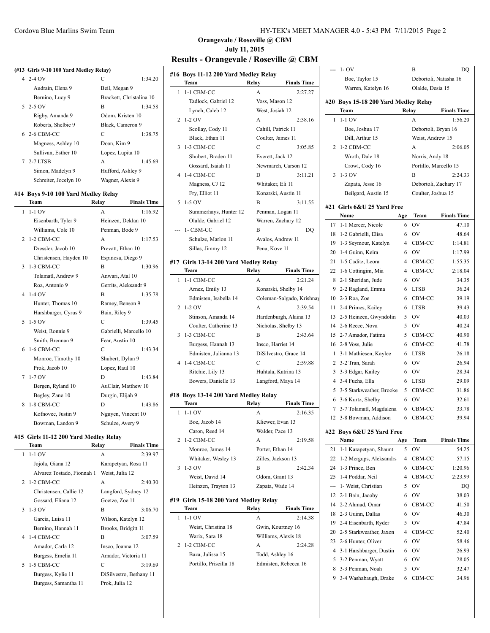#### **(#13 Girls 9-10 100 Yard Medley Relay)**

| 4 2-4 OV              | C                 | 1:34.20                  |
|-----------------------|-------------------|--------------------------|
| Audrain, Elena 9      | Beil, Megan 9     |                          |
| Bernino, Lucy 9       |                   | Brackett, Christalina 10 |
| $52-5$ OV             | B                 | 1:34.58                  |
| Rigby, Amanda 9       | Odom, Kristen 10  |                          |
| Roberts, Shelbie 9    | Black, Cameron 9  |                          |
| 6 2-6 CBM-CC          | C                 | 1:38.75                  |
| Magness, Ashley 10    | Doan, Kim 9       |                          |
| Sullivan, Esther 10   | Lopez, Lupita 10  |                          |
| 7 2-7 LTSB            | A                 | 1:45.69                  |
| Simon, Madelyn 9      | Hufford, Ashley 9 |                          |
| Schreiter, Jocelyn 10 | Wagner, Alexis 9  |                          |

### **#14 Boys 9-10 100 Yard Medley Relay**

 $\overline{a}$ 

|             | Team                   | Relay             | <b>Finals Time</b>     |
|-------------|------------------------|-------------------|------------------------|
| 1           | $1-1$ OV               | A                 | 1:16.92                |
|             | Eisenbarth, Tyler 9    |                   | Heinzen, Deklan 10     |
|             | Williams, Cole 10      | Penman, Bode 9    |                        |
| $2^{\circ}$ | 1-2 CBM-CC             | A                 | 1:17.53                |
|             | Dressler, Jacob 10     | Prevatt, Ethan 10 |                        |
|             | Christensen, Hayden 10 |                   | Espinosa, Diego 9      |
| 3           | 1-3 CBM-CC             | B                 | 1:30.96                |
|             | Tolamatl, Andrew 9     | Anwari, Atal 10   |                        |
|             | Roa, Antonio 9         |                   | Gerrits, Aleksandr 9   |
| 4           | $1-4$ OV               | $\overline{B}$    | 1:35.78                |
|             | Hunter, Thomas 10      | Ramey, Benson 9   |                        |
|             | Harshbarger, Cyrus 9   | Bain, Riley 9     |                        |
| 5           | $1-5$ OV               | C                 | 1:39.45                |
|             | Weist, Ronnie 9        |                   | Gabrielli, Marcello 10 |
|             | Smith, Brennan 9       | Fear, Austin 10   |                        |
|             | 6 1-6 CBM-CC           | C                 | 1:43.34                |
|             | Monroe, Timothy 10     | Shubert, Dylan 9  |                        |
|             | Prok, Jacob 10         | Lopez, Raul 10    |                        |
| 7           | $1-7$ OV               | D                 | 1:43.84                |
|             | Bergen, Ryland 10      |                   | AuClair, Matthew 10    |
|             | Begley, Zane 10        | Durgin, Elijah 9  |                        |
| 8           | 1-8 CBM-CC             | D                 | 1:43.86                |
|             | Kofnovec, Justin 9     |                   | Nguyen, Vincent 10     |
|             | Bowman, Landon 9       | Schulze, Avery 9  |                        |

#### **#15 Girls 11-12 200 Yard Medley Relay**

|               | Team                       | Relay               | <b>Finals Time</b>      |
|---------------|----------------------------|---------------------|-------------------------|
| 1.            | $1-1$ OV                   | A                   | 2:39.97                 |
|               | Jojola, Giana 12           | Karapetyan, Rosa 11 |                         |
|               | Alvarez Tostado, Fionnah 1 | Weist, Julia 12     |                         |
|               | 2 1-2 CBM-CC               | A                   | 2:40.30                 |
|               | Christensen, Callie 12     | Langford, Sydney 12 |                         |
|               | Gossard, Eliana 12         | Goetze, Zoe 11      |                         |
| $\mathcal{F}$ | $1-3$ OV                   | R                   | 3:06.70                 |
|               | Garcia, Luisa 11           | Wilson, Katelyn 12  |                         |
|               | Bernino, Hannah 11         | Brooks, Bridgitt 11 |                         |
|               | 4 1-4 CBM-CC               | R                   | 3:07.59                 |
|               | Amador, Carla 12           | Insco, Joanna 12    |                         |
|               | Burgess, Emelia 11         | Amador, Victoria 11 |                         |
| 5             | 1-5 CBM-CC                 | C                   | 3:19.69                 |
|               | Burgess, Kylie 11          |                     | DiSilvestro, Bethany 11 |
|               | Burgess, Samantha 11       | Prok, Julia 12      |                         |
|               |                            |                     |                         |

# **Orangevale / Roseville @ CBM July 11, 2015**

# **Results - Orangevale / Roseville @ CBM #16 Boys 11-12 200 Yard Medley Relay**

|   | Team                                          | Relay<br><b>Finals Time</b>       |
|---|-----------------------------------------------|-----------------------------------|
| 1 | 1-1 CBM-CC                                    | A<br>2:27.27                      |
|   | Tadlock, Gabriel 12                           | Voss, Mason 12                    |
|   | Lynch, Caleb 12                               | West, Josiah 12                   |
| 2 | $1-2$ OV                                      | 2:38.16<br>A                      |
|   | Scollay, Cody 11                              | Cahill, Patrick 11                |
|   | Black, Ethan 11                               | Coulter, James 11                 |
| 3 | 1-3 CBM-CC                                    | C<br>3:05.85                      |
|   | Shubert, Braden 11                            | Everett, Jack 12                  |
|   | Gossard, Isaiah 11                            | Newmarch, Carson 12               |
| 4 | 1-4 CBM-CC                                    | 3:11.21<br>D                      |
|   | Magness, CJ 12                                | Whitaker, Eli 11                  |
|   | Fry, Elliot 11                                | Konarski, Austin 11               |
| 5 | $1-5$ OV                                      | B<br>3:11.55                      |
|   | Summerhays, Hunter 12                         | Penman, Logan 11                  |
|   | Olalde, Gabriel 12                            | Warren, Zachary 12                |
|   | 1- CBM-CC                                     | B<br>DQ                           |
|   | Schulze, Marlon 11                            | Avalos, Andrew 11                 |
|   | Sillas, Jimmy 12                              | Pena, Kove 11                     |
|   |                                               |                                   |
|   | #17 Girls 13-14 200 Yard Medley Relay<br>Team | <b>Finals Time</b><br>Relay       |
|   | 1-1 CBM-CC                                    | 2:21.24                           |
| 1 |                                               | A                                 |
|   | Arnez, Emily 13                               | Konarski, Shelby 14               |
|   | Edmisten, Isabella 14                         | Coleman-Salgado, Krishnay         |
| 2 | $1-2$ OV                                      | A<br>2:39.54                      |
|   | Stinson, Amanda 14                            | Hardenburgh, Alaina 13            |
|   | Coulter, Catherine 13                         | Nicholas, Shelby 13               |
| 3 | 1-3 CBM-CC                                    | 2:43.64<br>B                      |
|   | Burgess, Hannah 13                            | Insco, Harriet 14                 |
|   | Edmisten, Julianna 13                         | DiSilvestro, Grace 14             |
| 4 | 1-4 CBM-CC                                    | 2:59.88<br>C                      |
|   | Ritchie, Lily 13                              | Huhtala, Katrina 13               |
|   | Bowers, Danielle 13                           | Langford, Maya 14                 |
|   | #18 Boys 13-14 200 Yard Medley Relay          |                                   |
|   | Team                                          | Relay<br><b>Finals Time</b>       |
| 1 | $1-1$ OV                                      | A<br>2:16.35                      |
|   | Boe, Jacob 14                                 | Kliewer, Evan 13                  |
|   | Caron, Reed 14                                | Walder, Pace 13                   |
|   | 2 1-2 CBM-CC                                  | A<br>2:19.58                      |
|   | Monroe, James 14                              | Porter, Ethan 14                  |
|   |                                               | Zilles, Jackson 13                |
|   | Whitaker, Wesley 13                           |                                   |
| 3 | $1-3$ OV                                      | В<br>2:42.34                      |
|   |                                               |                                   |
|   | Weist, David 14<br>Heinzen, Trayton 13        | Odom, Grant 13<br>Zapata, Wade 14 |

|                        | .                 | .                    |
|------------------------|-------------------|----------------------|
| $1-1$ OV               | A                 | 2:14.38              |
| Weist, Christina 18    | Gwin, Kourtney 16 |                      |
| Warix, Sara 18         |                   | Williams, Alexis 18  |
| 2 1-2 CBM-CC           | A                 | 2:24.28              |
| Baza, Julissa 15       | Todd, Ashley 16   |                      |
| Portillo, Priscilla 18 |                   | Edmisten, Rebecca 16 |
|                        |                   |                      |

| --- | 1- OV                                |     | В                     | DQ                 |
|-----|--------------------------------------|-----|-----------------------|--------------------|
|     | Boe, Taylor 15                       |     | Debortoli, Natasha 16 |                    |
|     | Warren, Katelyn 16                   |     | Olalde, Desia 15      |                    |
|     |                                      |     |                       |                    |
|     | #20 Boys 15-18 200 Yard Medley Relay |     |                       |                    |
|     | Team                                 |     | Relay                 | <b>Finals Time</b> |
| 1   | $1-1$ OV                             |     | А                     | 1:56.20            |
|     | Boe, Joshua 17                       |     | Debortoli, Bryan 16   |                    |
|     | Dill, Arthur 15                      |     | Weist, Andrew 15      |                    |
| 2   | 1-2 CBM-CC                           |     | A                     | 2:06.05            |
|     | Wroth, Dale 18                       |     | Norris, Andy 18       |                    |
|     | Crowl, Cody 16                       |     | Portillo, Marcello 15 |                    |
| 3   | $1-3$ OV                             |     | B                     | 2:24.33            |
|     | Zapata, Jesse 16                     |     | Debortoli, Zachary 17 |                    |
|     | Beilgard, Austin 15                  |     | Coulter, Joshua 15    |                    |
|     |                                      |     |                       |                    |
|     | #21 Girls 6&U 25 Yard Free           |     |                       |                    |
|     | Name                                 | Age | Team                  | <b>Finals Time</b> |
| 17  | 1-1 Mercer, Nicole                   | 6   | OV                    | 47.10              |
| 18  | 1-2 Gabrielli, Elisa                 | 6   | OV                    | 48.64              |
| 19  | 1-3 Seymour, Katelyn                 | 4   | CBM-CC                | 1:14.81            |
| 20  | 1-4 Guinn, Keira                     | 6   | OV                    | 1:17.99            |
| 21  | 1-5 Caditz, Leora                    | 4   | CBM-CC                | 1:55.35            |
| 22  | 1-6 Cottingim, Mia                   | 4   | CBM-CC                | 2:18.04            |
| 8   | 2-1 Sheridan, Jude                   | 6   | OV                    | 34.35              |
| 9   | 2-2 Ragland, Emma                    | 6   | LTSB                  | 36.24              |
| 10  | 2-3 Roa, Zoe                         | 6   | CBM-CC                | 39.19              |
| 11  | 2-4 Primes, Kailey                   | 6   | <b>LTSB</b>           | 39.43              |
| 13  | 2-5 Heinzen, Gwyndolin               | 5   | OV                    | 40.03              |
| 14  | 2-6 Reece, Nova                      | 5   | OV                    | 40.24              |
| 15  | 2-7 Amador, Fatima                   | 5   | CBM-CC                | 40.90              |
| 16  | 2-8 Voss, Julie                      | 6   | CBM-CC                | 41.78              |
| 1   | 3-1 Mathiesen, Kaylee                | 6   | <b>LTSB</b>           | 26.18              |
| 2   | 3-2 Tran, Sarah                      | 6   | OV                    | 26.94              |
| 3   | 3-3 Edgar, Kailey                    | 6   | OV                    | 28.34              |
| 4   | 3-4 Fuchs, Ella                      | 6   | <b>LTSB</b>           | 29.09              |
| 5   | 3-5 Starkweather, Brooke             | 5   | CBM-CC                | 31.86              |
| 6   | 3-6 Kurtz, Shelby                    | 6   | OV                    | 32.61              |
| 7   |                                      | 6   |                       |                    |
|     | 3-7 Tolamatl, Magdalena              |     | CBM-CC                | 33.78              |
| 12  | 3-8 Bowman, Addison                  | 6   | CBM-CC                | 39.94              |
|     | #22 Boys 6&U 25 Yard Free            |     |                       |                    |
|     | Name                                 | Age | Team                  | <b>Finals Time</b> |
| 21  | 1-1 Karapetyan, Shaunt               | 5   | OV                    | 54.25              |
| 22  | 1-2 Mergups, Aleksandrs              | 4   | CBM-CC                | 57.15              |
| 24  | 1-3 Prince, Ben                      | 6   | CBM-CC                | 1:20.96            |
| 25  | 1-4 Poddar, Neil                     | 4   | CBM-CC                | 2:23.99            |
| --- | 1- Weist, Christian                  | 5   | OV                    | DO                 |
| 12  | 2-1 Bain, Jacoby                     | 6   | OV                    | 38.03              |
| 14  | 2-2 Ahmad, Omar                      | 6   | CBM-CC                | 41.50              |
| 18  | 2-3 Guinn, Dallas                    | 6   | OV                    | 46.30              |
| 19  | 2-4 Eisenbarth, Ryder                | 5   | OV                    | 47.84              |
| 20  | 2-5 Starkweather, Jaxon              | 4   | CBM-CC                | 52.40              |
|     |                                      |     |                       |                    |
| 23  | 2-6 Hunter, Oliver                   | 6   | OV                    | 58.46              |
| 4   | 3-1 Harshbarger, Dustin              | 6   | OV                    | 26.93              |
| 5   | 3-2 Penman, Wyatt                    | 6   | OV                    | 28.05              |
| 8   | 3-3 Penman, Noah                     | 5   | OV                    | 32.47              |
| 9   | 3-4 Washabaugh, Drake                | 6   | CBM-CC                | 34.96              |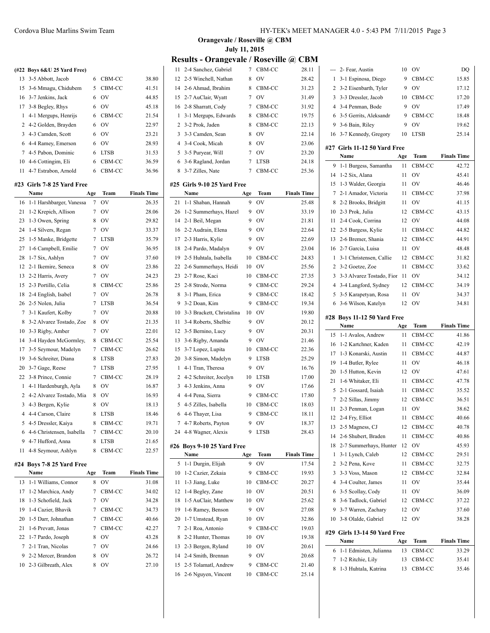|                | (#22 Boys 6&U 25 Yard Free) |                |             |                    |
|----------------|-----------------------------|----------------|-------------|--------------------|
| 13             | 3-5 Abbott, Jacob           | 6              | CBM-CC      | 38.80              |
| 15             | 3-6 Mmagu, Chidubem         | 5              | CBM-CC      | 41.51              |
| 16             | 3-7 Jenkins, Jack           | 6              | OV          | 44.85              |
| 17             | 3-8 Begley, Rhys            | 6              | OV          | 45.18              |
| 1              | 4-1 Mergups, Henrijs        | 6              | CBM-CC      | 21.54              |
| $\overline{c}$ | 4-2 Golden, Brayden         | 6              | OV          | 22.97              |
| 3              | 4-3 Camden, Scott           | 6              | OV          | 23.21              |
| 6              | 4-4 Ramey, Emerson          | 6              | OV          | 28.93              |
| 7              | 4-5 Pabon, Dominic          | 6              | <b>LTSB</b> | 31.53              |
| 10             | 4-6 Cottingim, Eli          | 6              | CBM-CC      | 36.59              |
| 11             | 4-7 Estrabon, Arnold        | 6              | CBM-CC      | 36.96              |
|                | #23 Girls 7-8 25 Yard Free  |                |             |                    |
|                | Name                        | Age            | Team        | <b>Finals Time</b> |
| 16             | 1-1 Harshbarger, Vanessa    | 7              | OV          | 26.35              |
| 21             | 1-2 Krepich, Allison        | 7              | OV          | 28.06              |
| 23             | 1-3 Owen, Spring            | 8              | OV          | 29.82              |
| 24             | 1-4 Silvers, Regan          | 7              | OV          | 33.37              |
| 25             | 1-5 Manke, Bridgette        | 7              | <b>LTSB</b> | 35.79              |
| 27             | 1-6 Campbell, Emilie        | 7              | OV          | 36.95              |
| 28             | 1-7 Six, Ashlyn             | 7              | OV          | 37.60              |
| 12             | 2-1 Ikemire, Seneca         | 8              | OV          | 23.86              |
| 13             | 2-2 Harris, Avery           | $\overline{7}$ | OV          | 24.23              |
| 15             | 2-3 Portillo, Celia         | 8              | CBM-CC      | 25.86              |
| 18             | 2-4 English, Isabel         | 7              | OV          | 26.78              |
| 26             | 2-5 Nolen, Julia            | 7              | <b>LTSB</b> | 36.54              |
| 7              | 3-1 Kaufert, Kolby          | 7              | OV          | 20.88              |
| 8              | 3-2 Alvarez Tostado, Zoe    | 8              | OV          | 21.35              |
| 10             | 3-3 Rigby, Amber            | 7              | OV          | 22.01              |
| 14             | 3-4 Hayden McGormley,       | 8              | CBM-CC      | 25.54              |
| 17             | 3-5 Seymour, Madelyn        | 7              | CBM-CC      | 26.62              |
| 19             | 3-6 Schreiter, Diana        | 8              | <b>LTSB</b> | 27.83              |
| 20             | 3-7 Gage, Reese             | 7              | <b>LTSB</b> | 27.95              |
| 22             | 3-8 Prince, Connie          | 7              | CBM-CC      | 28.19              |
| 1              | 4-1 Hardenburgh, Ayla       | 8              | OV          | 16.87              |
| $\overline{c}$ | 4-2 Alvarez Tostado, Mia    | 8              | OV          | 16.93              |
| 3              | 4-3 Bergen, Kylie           | 8              | OV          | 18.13              |
| 4              | 4-4 Carson, Claire          | 8              | <b>LTSB</b> | 18.46              |
| 5              | 4-5 Dressler, Kaiya         | 8              | CBM-CC      | 19.71              |
| 6              | 4-6 Christensen, Isabella   | 7              | CBM-CC      | 20.10              |
| 9              | 4-7 Hufford, Anna           | 8              | <b>LTSB</b> | 21.65              |
| 11             | 4-8 Seymour, Ashlyn         | 8              | CBM-CC      | 22.57              |

## **#24 Boys 7-8 25 Yard Free**

 $\overline{a}$ 

| Name                    | Age | <b>Team</b>    | <b>Finals Time</b> |
|-------------------------|-----|----------------|--------------------|
| 13 1-1 Williams, Connor | 8   | OV             | 31.08              |
| 17 1-2 Marchica, Andy   |     | CBM-CC         | 34.02              |
| 18 1-3 Schofield, Jack  | 7   | OV             | 34.28              |
| 19 1-4 Cazier, Bhavik   |     | CBM-CC         | 34.73              |
| 20 1-5 Darr, Johnathan  |     | CBM-CC         | 40.66              |
| 21 1-6 Prevatt, Jonas   |     | CBM-CC         | 42.27              |
| 22 1-7 Pardo, Joseph    | 8   | OV             | 43.28              |
| 7 2-1 Tran, Nicolas     |     | O <sub>V</sub> | 24.66              |
| 9 2-2 Mercer, Brandon   | 8   | OV             | 26.72              |
| 10 2-3 Gilbreath, Alex  |     | OV             | 27.10              |
|                         |     |                |                    |

**Orangevale / Roseville @ CBM July 11, 2015**

## **Results - Orangevale / Roseville @ CBM**

| 11             | 2-4 Sanchez, Gabriel        | 7   | CBM-CC      | 28.11              |
|----------------|-----------------------------|-----|-------------|--------------------|
| 12             | 2-5 Winchell, Nathan        | 8   | OV          | 28.42              |
| 14             | 2-6 Ahmad, Ibrahim          | 8   | CBM-CC      | 31.23              |
| 15             | 2-7 AuClair, Wyatt          | 7   | OV          | 31.49              |
| 16             | 2-8 Sharratt, Cody          | 7   | CBM-CC      | 31.92              |
| 1              | 3-1 Mergups, Edwards        | 8   | CBM-CC      | 19.75              |
| 2              | 3-2 Prok, Jaden             | 8   | CBM-CC      | 22.13              |
| 3              | 3-3 Camden, Sean            | 8   | OV          | 22.14              |
| 4              | 3-4 Cook, Micah             | 8   | OV          | 23.06              |
| 5              | 3-5 Puryear, Will           | 7   | OV          | 23.20              |
| 6              | 3-6 Ragland, Jordan         | 7   | <b>LTSB</b> | 24.18              |
| 8              | 3-7 Zilles, Nate            | 7   | CBM-CC      | 25.36              |
|                |                             |     |             |                    |
|                | #25 Girls 9-10 25 Yard Free |     |             |                    |
|                | Name                        | Age | Team        | <b>Finals Time</b> |
| 21             | 1-1 Shaban, Hannah          | 9   | OV          | 25.48              |
| 26             | 1-2 Summerhays, Hazel       | 9   | OV          | 33.19              |
| 14             | 2-1 Beil, Megan             | 9   | OV          | 21.81              |
| 16             | 2-2 Audrain, Elena          | 9   | OV          | 22.64              |
| 17             | 2-3 Harris, Kylie           | 9   | OV          | 22.69              |
| 18             | 2-4 Pardo, Madalyn          | 9   | OV          | 23.04              |
| 19             | 2-5 Huhtala, Isabella       | 10  | CBM-CC      | 24.83              |
| 22             | 2-6 Summerhays, Heidi       | 10  | OV          | 25.56              |
| 23             | 2-7 Rose, Kaci              | 10  | CBM-CC      | 27.35              |
| 25             | 2-8 Strode, Norma           | 9   | CBM-CC      | 29.24              |
| 8              | 3-1 Pham, Erica             | 9   | CBM-CC      | 18.42              |
| 9              | 3-2 Doan, Kim               | 9   | CBM-CC      | 19.34              |
| 10             | 3-3 Brackett, Christalina   | 10  | OV          | 19.80              |
| 11             | 3-4 Roberts, Shelbie        | 9   | OV          | 20.12              |
| 12             | 3-5 Bernino, Lucy           | 9   | OV          | 20.31              |
| 13             | 3-6 Rigby, Amanda           | 9   | OV          | 21.46              |
| 15             | 3-7 Lopez, Lupita           | 10  | CBM-CC      | 22.36              |
| 20             | 3-8 Simon, Madelyn          | 9   | <b>LTSB</b> | 25.29              |
| 1              | 4-1 Tran, Theresa           | 9   | OV          | 16.76              |
| 2              | 4-2 Schreiter, Jocelyn      | 10  | LTSB        | 17.00              |
| 3              | 4-3 Jenkins, Anna           | 9   | OV          | 17.66              |
| 4              | 4-4 Pena, Sierra            | 9   | CBM-CC      | 17.80              |
| 5              | 4-5 Zilles, Isabella        | 10  | CBM-CC      | 18.03              |
| 6              | 4-6 Thayer, Lisa            | 9   | CBM-CC      | 18.11              |
| $\overline{7}$ | 4-7 Roberts, Payton         | 9   | OV          | 18.37              |
|                | 24 4-8 Wagner, Alexis       | 9   | LTSB        | 28.43              |
|                | #26 Boys 9-10 25 Yard Free  |     |             |                    |
|                | Name                        | Age | Team        | <b>Finals Time</b> |
| 5              | 1-1 Durgin, Elijah          | 9   | OV          | 17.54              |
| 10             | 1-2 Cazier, Zekaia          | 9   | CBM-CC      | 19.93              |
| 11             | 1-3 Jiang, Luke             | 10  | CBM-CC      | 20.27              |
| 12             | 1-4 Begley, Zane            | 10  | OV          | 20.51              |
| 18             | 1-5 AuClair, Matthew        | 10  | OV          | 25.62              |
| 19             | 1-6 Ramey, Benson           | 9   | OV          | 27.08              |
| 20             | 1-7 Umstead, Ryan           | 10  | OV          | 32.86              |
| 7              | 2-1 Roa, Antonio            | 9   | CBM-CC      | 19.03              |
| 8              | 2-2 Hunter, Thomas          | 10  | OV          | 19.38              |
| 13             |                             |     |             |                    |
|                | 2-3 Bergen, Ryland          | 10  | OV          | 20.61              |
| 14             | 2-4 Smith, Brennan          | 9   | OV          | 20.68              |
| 15             | 2-5 Tolamatl, Andrew        | 9   | CBM-CC      | 21.40              |

| ---     | 2- Fear, Austin                            | 10       | OV               | DQ                 |
|---------|--------------------------------------------|----------|------------------|--------------------|
| 1       | 3-1 Espinosa, Diego                        | 9        | CBM-CC           | 15.85              |
| 2       | 3-2 Eisenbarth, Tyler                      | 9        | OV               | 17.12              |
| 3       | 3-3 Dressler, Jacob                        | 10       | CBM-CC           | 17.20              |
| 4       | 3-4 Penman, Bode                           | 9        | OV               | 17.49              |
| 6       | 3-5 Gerrits, Aleksandr                     | 9        | CBM-CC           | 18.48              |
| 9       | 3-6 Bain, Riley                            | 9        | OV               | 19.62              |
| 16      | 3-7 Kennedy, Gregory                       | 10       | LTSB             | 25.14              |
| #27     | Girls 11-12 50 Yard Free                   |          |                  |                    |
|         | Name                                       | Age      | <b>Team</b>      | <b>Finals Time</b> |
| 9       | 1-1 Burgess, Samantha                      | 11       | CBM-CC           | 42.72              |
| 14      | 1-2 Six, Alana                             | 11       | OV               | 45.41              |
| 15      | 1-3 Walder, Georgia                        | 11       | OV               | 46.46              |
| 7       | 2-1 Amador, Victoria                       | 11       | CBM-CC           | 37.98              |
| 8       | 2-2 Brooks, Bridgitt                       | 11       | OV               | 41.15              |
| 10      | 2-3 Prok, Julia                            | 12       | CBM-CC           | 43.15              |
| 11      | 2-4 Cook, Corrina                          | 12       | OV               | 44.08              |
| 12      | 2-5 Burgess, Kylie                         | 11       | CBM-CC           | 44.82              |
| 13      | 2-6 Bremer, Shania                         | 12       | CBM-CC           | 44.91              |
| 16      | 2-7 Garcia, Luisa                          | 11       | OV               | 48.48              |
| 1       | 3-1 Christensen, Callie                    | 12       | CBM-CC           | 31.82              |
| 2       | 3-2 Goetze, Zoe                            | 11       | CBM-CC           | 33.62              |
| 3       | 3-3 Alvarez Tostado, Fior                  | 11       | OV               | 34.12              |
| 4       | 3-4 Langford, Sydney                       | 12       | CBM-CC           | 34.19              |
| 5       | 3-5 Karapetyan, Rosa                       | 11       | OV               | 34.37              |
| 6       | 3-6 Wilson, Katelyn                        | 12       | OV               | 34.81              |
|         |                                            |          |                  |                    |
| #28     | Boys 11-12 50 Yard Free                    |          |                  |                    |
|         |                                            |          |                  |                    |
|         | Name                                       | Age      | Team             | <b>Finals Time</b> |
| 15      | 1-1 Avalos, Andrew                         | 11       | CBM-CC           | 41.86              |
| 16      | 1-2 Kartchner, Kaden                       | 11       | CBM-CC           | 42.19              |
| 17      | 1-3 Konarski, Austin                       | 11       | CBM-CC           | 44.87              |
| 19      | 1-4 Butler, Rylee                          | 11       | OV               | 46.18              |
| 20      | 1-5 Hutton, Kevin                          | 12       | OV               | 47.61              |
| 21      | 1-6 Whitaker, Eli                          | 11       | CBM-CC           | 47.78              |
| 5       | 2-1 Gossard, Isaiah                        | 11       | CBM-CC           | 35.52              |
| 7       | 2-2 Sillas, Jimmy                          | 12       | CBM-CC           | 36.51              |
| 11      | 2-3 Penman, Logan                          | 11       | OV               | 38.62              |
| 12      | 2-4 Fry, Elliot                            | 11       | CBM-CC           | 40.66              |
| 13      | 2-5 Magness, CJ                            | 12       | CBM-CC           | 40.78              |
| 14      | 2-6 Shubert, Braden                        | 11       | CBM-CC           | 40.86              |
| 18      | 2-7 Summerhays, Hunter                     | 12       | OV               | 45.93              |
| 1       | 3-1 Lynch, Caleb                           | 12       | CBM-CC           | 29.51              |
| 2       | 3-2 Pena, Kove                             | 11       | CBM-CC           | 32.75              |
| 3       | 3-3 Voss, Mason                            | 12       | CBM-CC           | 32.84              |
| 4       | 3-4 Coulter, James                         | 11       | OV               | 35.44              |
| 6       | 3-5 Scollay, Cody                          | 11       | OV               | 36.09              |
| 8       | 3-6 Tadlock, Gabriel                       | 12       | CBM-CC           | 37.22              |
| 9<br>10 | 3-7 Warren, Zachary<br>3-8 Olalde, Gabriel | 12<br>12 | OV<br>OV         | 37.60<br>38.28     |
|         |                                            |          |                  |                    |
|         | #29 Girls 13-14 50 Yard Free               |          |                  |                    |
|         | Name                                       | Age      | Team             | <b>Finals Time</b> |
| 6       | 1-1 Edmisten, Julianna                     | 13       | CBM-CC           | 33.29              |
| 7<br>8  | 1-2 Ritchie, Lily<br>1-3 Huhtala, Katrina  | 13<br>13 | CBM-CC<br>CBM-CC | 35.41<br>35.46     |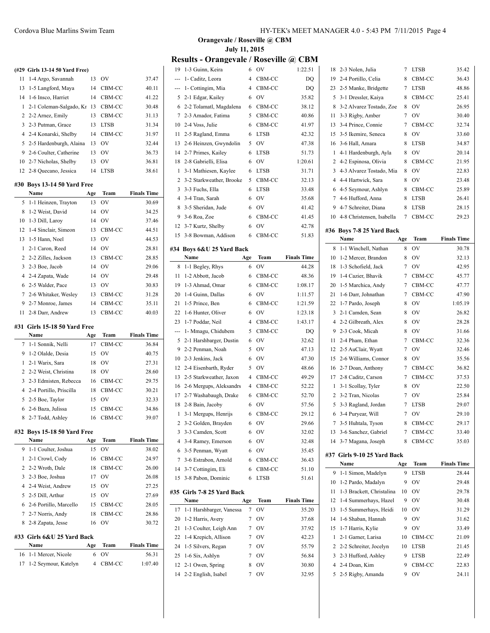|    | (#29 Girls 13-14 50 Yard Free)      |                |              |                    |
|----|-------------------------------------|----------------|--------------|--------------------|
| 11 | 1-4 Argo, Savannah                  | 13             | OV           | 37.47              |
| 13 | 1-5 Langford, Maya                  | 14             | CBM-CC       | 40.11              |
| 14 | 1-6 Insco, Harriet                  | 14             | CBM-CC       | 41.22              |
| 1  | 2-1 Coleman-Salgado, Kr             | 13             | CBM-CC       | 30.48              |
| 2  | 2-2 Arnez, Emily                    | 13             | CBM-CC       | 31.13              |
| 3  | 2-3 Putman, Grace                   | 13             | <b>LTSB</b>  | 31.34              |
| 4  | 2-4 Konarski, Shelby                | 14             | CBM-CC       | 31.97              |
| 5  | 2-5 Hardenburgh, Alaina             | 13             | OV           | 32.44              |
| 9  | 2-6 Coulter, Catherine              | 13             | OV           | 36.73              |
| 10 | 2-7 Nicholas, Shelby                | 13             | OV           | 36.81              |
| 12 | 2-8 Quecano, Jessica                | 14             | <b>LTSB</b>  | 38.61              |
|    | #30 Boys 13-14 50 Yard Free         |                |              |                    |
|    | Name                                | Age            | Team         | <b>Finals Time</b> |
| 5  | 1-1 Heinzen, Trayton                | 13             | OV           | 30.69              |
| 8  | 1-2 Weist, David                    | 14             | OV           | 34.25              |
| 10 | 1-3 Dill, Laroy                     | 14             | OV           | 37.46              |
| 12 | 1-4 Sinclair, Simeon                | 13             | CBM-CC       | 44.51              |
| 13 | 1-5 Hann, Noel                      | 13             | OV           | 44.53              |
| 1  | 2-1 Caron, Reed                     | 14             | OV           | 28.81              |
| 2  | 2-2 Zilles, Jackson                 |                |              | 28.85              |
|    |                                     | 13             | CBM-CC       |                    |
| 3  | 2-3 Boe, Jacob                      | 14             | OV<br>OV     | 29.06              |
| 4  | 2-4 Zapata, Wade                    | 14             |              | 29.48              |
| 6  | 2-5 Walder, Pace                    | 13             | OV           | 30.83              |
| 7  | 2-6 Whitaker, Wesley                | 13             | CBM-CC       | 31.28              |
| 9  | 2-7 Monroe, James                   | 14             | CBM-CC       | 35.11              |
| 11 | 2-8 Darr, Andrew                    | 13             | CBM-CC       | 40.03              |
|    | #31 Girls 15-18 50 Yard Free        |                |              |                    |
|    | Name                                | Age            | Team         | <b>Finals Time</b> |
| 7  | 1-1 Sonnik, Nelli                   | 17             | CBM-CC       | 36.84              |
| 9  | 1-2 Olalde, Desia                   | 15             | OV           | 40.75              |
| 1  | 2-1 Warix, Sara                     | 18             | OV           | 27.31              |
| 2  | 2-2 Weist, Christina                | 18             | OV           | 28.60              |
| 3  | 2-3 Edmisten, Rebecca               | 16             | CBM-CC       | 29.75              |
| 4  | 2-4 Portillo, Priscilla             | 18             | CBM-CC       | 30.21              |
| 5  | 2-5 Boe, Taylor                     | 15             | OV           | 32.33              |
| 6  | 2-6 Baza, Julissa                   | 15             | CBM-CC       | 34.86              |
| 8. | 2-7 Todd, Ashley                    | 16             | CBM-CC       | 39.07              |
|    |                                     |                |              |                    |
|    | #32 Boys 15-18 50 Yard Free<br>Name | Age            | Team         | <b>Finals Time</b> |
| 9  | 1-1 Coulter, Joshua                 | 15             | OV           | 38.02              |
| 1  | 2-1 Crowl, Cody                     | 16             | CBM-CC       | 24.97              |
| 2  | 2-2 Wroth, Dale                     | 18             | CBM-CC       | 26.00              |
| 3  | 2-3 Boe, Joshua                     | 17             | OV           | 26.08              |
| 4  | 2-4 Weist, Andrew                   | 15             | OV           | 27.25              |
| 5  | 2-5 Dill, Arthur                    | 15             | OV           | 27.69              |
| 6  | 2-6 Portillo, Marcello              | 15             |              | 28.05              |
| 7  |                                     |                | CBM-CC       |                    |
|    | 2-7 Norris, Andy                    | 18<br>16       | CBM-CC<br>OV | 28.86              |
| 8  | 2-8 Zapata, Jesse                   |                |              | 30.72              |
|    | #33 Girls 6&U 25 Yard Back          |                |              |                    |
|    | Name                                | Age            | Team         | <b>Finals Time</b> |
| 16 | 1-1 Mercer, Nicole                  | 6              | OV           | 56.31              |
| 17 | 1-2 Seymour, Katelyn                | $\overline{4}$ | CBM-CC       | 1:07.40            |

**Orangevale / Roseville @ CBM July 11, 2015**

## **Results - Orangevale / Roseville @ CBM**

| 19             | 1-3 Guinn, Keira          | 6              | OV                            | 1:22.51            |
|----------------|---------------------------|----------------|-------------------------------|--------------------|
| ---            | 1- Caditz, Leora          | $\overline{4}$ | CBM-CC                        | DQ                 |
| ---            | 1- Cottingim, Mia         | 4              | CBM-CC                        | DQ                 |
| 5              | 2-1 Edgar, Kailey         | 6              | OV                            | 35.82              |
| 6              | 2-2 Tolamatl, Magdalena   | 6              | CBM-CC                        | 38.12              |
| 7              | 2-3 Amador, Fatima        | 5              | CBM-CC                        | 40.86              |
| 10             | 2-4 Voss, Julie           | 6              | CBM-CC                        | 41.97              |
| 11             | 2-5 Ragland, Emma         | 6              | <b>LTSB</b>                   | 42.32              |
| 13             | 2-6 Heinzen, Gwyndolin    | 5              | OV                            | 47.38              |
| 14             | 2-7 Primes, Kailey        | 6              | <b>LTSB</b>                   | 51.73              |
| 18             | 2-8 Gabrielli, Elisa      | 6              | OV                            | 1:20.61            |
| 1              | 3-1 Mathiesen, Kaylee     | 6              | <b>LTSB</b>                   | 31.71              |
| 2              | 3-2 Starkweather, Brooke  | 5              | CBM-CC                        | 32.13              |
|                |                           |                |                               |                    |
| 3              | 3-3 Fuchs, Ella           | 6              | <b>LTSB</b>                   | 33.48              |
| $\overline{4}$ | 3-4 Tran, Sarah           | 6              | OV                            | 35.68              |
| 8              | 3-5 Sheridan, Jude        | 6              | OV                            | 41.42              |
| 9              | 3-6 Roa, Zoe              | 6              | CBM-CC                        | 41.45              |
| 12             | 3-7 Kurtz, Shelby         | 6              | OV                            | 42.78              |
| 15             | 3-8 Bowman, Addison       | 6              | CBM-CC                        | 51.83              |
|                | #34 Boys 6&U 25 Yard Back |                |                               |                    |
|                | Name                      | Age            | Team                          | <b>Finals Time</b> |
| 8              | 1-1 Begley, Rhys          | 6              | OV                            | 44.28              |
| 11             | 1-2 Abbott, Jacob         | 6              | CBM-CC                        | 48.36              |
| 19             | 1-3 Ahmad, Omar           | 6              | CBM-CC                        | 1:08.17            |
| 20             | 1-4 Guinn, Dallas         | 6              | <b>OV</b>                     | 1:11.57            |
| 21             | 1-5 Prince, Ben           | 6              | CBM-CC                        | 1:21.59            |
| 22             | 1-6 Hunter, Oliver        | 6              | OV                            | 1:23.18            |
| 23             | 1-7 Poddar, Neil          | 4              | CBM-CC                        | 1:43.17            |
| ---            | 1- Mmagu, Chidubem        | 5              | CBM-CC                        | DQ                 |
| 5              | 2-1 Harshbarger, Dustin   | 6              | <b>OV</b>                     | 32.62              |
| 9              | 2-2 Penman, Noah          | 5              | OV                            | 47.13              |
| 10             | 2-3 Jenkins, Jack         | 6              | OV                            | 47.30              |
| 12             | 2-4 Eisenbarth, Ryder     | 5              | OV                            | 48.66              |
| 13             | 2-5 Starkweather, Jaxon   | 4              | CBM-CC                        | 49.29              |
| 16             | 2-6 Mergups, Aleksandrs   | 4              | CBM-CC                        | 52.22              |
|                |                           |                |                               | 52.70              |
| 17             | 2-7 Washabaugh, Drake     | 6              | CBM-CC                        | 57.56              |
| 18             | 2-8 Bain, Jacoby          | 6              | OV                            |                    |
| 1              | 3-1 Mergups, Henrijs      | 6              | CBM-CC                        | 29.12              |
| 2              | 3-2 Golden, Brayden       | 6              | OV                            | 29.66              |
| 3              | 3-3 Camden, Scott         | 6              | OV                            | 32.02              |
| 4              | 3-4 Ramey, Emerson        | 6              | OV                            | 32.48              |
| 6              | 3-5 Penman, Wyatt         | 6              | OV                            | 35.45              |
| 7              | 3-6 Estrabon, Arnold      | 6              | CBM-CC                        | 36.43              |
| 14             | 3-7 Cottingim, Eli        | 6              | CBM-CC                        | 51.10              |
| 15             | 3-8 Pabon, Dominic        | 6              | LTSB                          | 51.61              |
| #35            | Girls 7-8 25 Yard Back    |                |                               |                    |
|                | Name                      | Age            | Team                          | <b>Finals Time</b> |
| 17             | 1-1 Harshbarger, Vanessa  | 7              | OV                            | 35.20              |
| 20             | 1-2 Harris, Avery         | 7              | OV                            | 37.68              |
| 21             | 1-3 Coulter, Leigh Ann    | 7              | OV                            | 37.92              |
| 22             | 1-4 Krepich, Allison      | 7              | OV                            | 42.23              |
| 24             | 1-5 Silvers, Regan        | 7              | OV                            | 55.79              |
| 25             | 1-6 Six, Ashlyn           | 7              | OV                            | 56.84              |
| 12             | 2-1 Owen, Spring          | 8              | $\overline{\text{O}}\text{V}$ | 30.80              |
| 14             | 2-2 English, Isabel       | $\sqrt{ }$     | OV                            | 32.95              |
|                |                           |                |                               |                    |

| 18             | 2-3 Nolen, Julia             | 7   | <b>LTSB</b> | 35.42              |
|----------------|------------------------------|-----|-------------|--------------------|
| 19             | 2-4 Portillo, Celia          | 8   | CBM-CC      | 36.43              |
| 23             | 2-5 Manke, Bridgette         | 7   | <b>LTSB</b> | 48.86              |
| 5              | 3-1 Dressler, Kaiya          | 8   | CBM-CC      | 25.41              |
| 8              | 3-2 Alvarez Tostado, Zoe     | 8   | OV          | 26.95              |
| 11             | 3-3 Rigby, Amber             | 7   | OV          | 30.40              |
| 13             | 3-4 Prince, Connie           | 7   | CBM-CC      | 32.74              |
| 15             | 3-5 Ikemire, Seneca          | 8   | OV          | 33.60              |
| 16             | 3-6 Hall, Amara              | 8   | <b>LTSB</b> | 34.87              |
| 1              | 4-1 Hardenburgh, Ayla        | 8   | OV          | 20.14              |
| 2              | 4-2 Espinosa, Olivia         | 8   | CBM-CC      | 21.95              |
| 3              | 4-3 Alvarez Tostado, Mia     | 8   | <b>OV</b>   | 22.83              |
| 4              | 4-4 Hartwick, Sara           | 8   | <b>OV</b>   | 23.48              |
| 6              | 4-5 Seymour, Ashlyn          | 8   | CBM-CC      | 25.89              |
| 7              | 4-6 Hufford, Anna            | 8   | <b>LTSB</b> | 26.41              |
| 9              | 4-7 Schreiter, Diana         | 8   | LTSB        | 28.15              |
| 10             | 4-8 Christensen, Isabella    | 7   | CBM-CC      | 29.23              |
|                |                              |     |             |                    |
|                | #36 Boys 7-8 25 Yard Back    |     |             |                    |
|                | Name<br>1-1 Winchell, Nathan | Age | Team<br>OV  | <b>Finals Time</b> |
| 8              | 1-2 Mercer, Brandon          | 8   |             | 30.78              |
| 10             |                              | 8   | OV          | 32.13              |
| 18             | 1-3 Schofield, Jack          | 7   | <b>OV</b>   | 42.95              |
| 19             | 1-4 Cazier, Bhavik           | 7   | CBM-CC      | 45.77              |
| 20             | 1-5 Marchica, Andy           | 7   | CBM-CC      | 47.77              |
| 21             | 1-6 Darr, Johnathan          | 7   | CBM-CC      | 47.90              |
| 22             | 1-7 Pardo, Joseph            | 8   | OV          | 1:05.19            |
| 3              | 2-1 Camden, Sean             | 8   | OV          | 26.82              |
| 4              | 2-2 Gilbreath, Alex          | 8   | OV          | 28.28              |
| 9              | 2-3 Cook, Micah              | 8   | OV          | 31.66              |
| 11             | 2-4 Pham, Ethan              | 7   | CBM-CC      | 32.36              |
| 12             | 2-5 AuClair, Wyatt           | 7   | OV          | 32.46              |
| 15             | 2-6 Williams, Connor         | 8   | OV          | 35.56              |
|                |                              |     |             |                    |
| 16             | 2-7 Doan, Anthony            | 7   | CBM-CC      | 36.82              |
| 17             | 2-8 Caditz, Carson           | 7   | CBM-CC      | 37.53              |
| 1              | 3-1 Scollay, Tyler           | 8   | OV          | 22.50              |
| 2              | 3-2 Tran, Nicolas            | 7   | OV          | 25.84              |
| 5              | 3-3 Ragland, Jordan          | 7   | <b>LTSB</b> | 29.07              |
| 6              | 3-4 Puryear, Will            | 7   | OV          | 29.10              |
| $\overline{7}$ | 3-5 Huhtala, Tyson           | 8   | CBM-CC      | 29.17              |
| 13             | 3-6 Sanchez, Gabriel         | 7   | CBM-CC      | 33.40              |
| 14             | 3-7 Magana, Joseph           | 8   | CBM-CC      | 35.03              |
|                | #37 Girls 9-10 25 Yard Back  |     |             |                    |
|                | Name                         | Age | Team        | <b>Finals Time</b> |
| 9              | 1-1 Simon, Madelyn           | 9   | LTSB        | 28.44              |
| 10             | 1-2 Pardo, Madalyn           | 9   | OV          | 29.48              |
| 11             | 1-3 Brackett, Christalina    | 10  | OV          | 29.78              |
| 12             | 1-4 Summerhays, Hazel        | 9   | OV          | 30.48              |
| 13             | 1-5 Summerhays, Heidi        | 10  | OV          | 31.29              |
| 14             | 1-6 Shaban, Hannah           | 9   | OV          | 31.62              |
| 15             | 1-7 Harris, Kylie            | 9   | OV          | 33.49              |
| 1              | 2-1 Garner, Larisa           | 10  | CBM-CC      | 21.09              |
| 2              | 2-2 Schreiter, Jocelyn       | 10  | LTSB        | 21.45              |
| 3              | 2-3 Hufford, Ashley          | 9   | <b>LTSB</b> | 22.49              |
| 4              | 2-4 Doan, Kim                | 9   | CBM-CC      | 22.83              |
| 5              | 2-5 Rigby, Amanda            | 9   | ov          | 24.11              |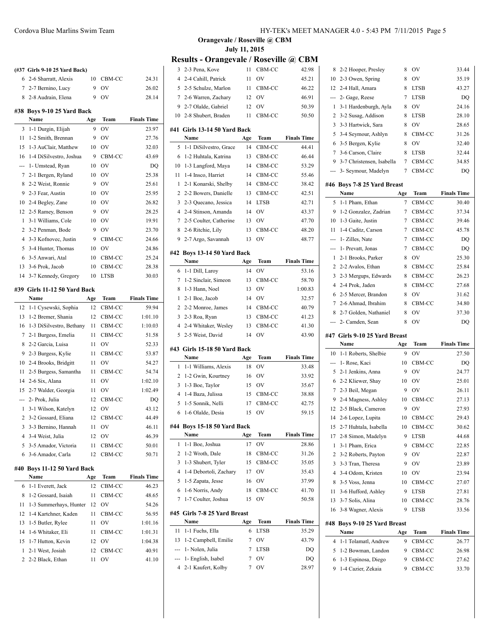|                | (#37 Girls 9-10 25 Yard Back)    |     |             |                    |
|----------------|----------------------------------|-----|-------------|--------------------|
| 6              | 2-6 Sharratt, Alexis             | 10  | CBM-CC      | 24.31              |
| $7^{\circ}$    | 2-7 Bernino, Lucy                | 9   | OV          | 26.02              |
| 8              | 2-8 Audrain, Elena               | 9   | OV          | 28.14              |
|                | #38 Boys 9-10 25 Yard Back       |     |             |                    |
|                | Name                             | Age | Team        | <b>Finals Time</b> |
| 3              | 1-1 Durgin, Elijah               | 9   | OV          | 23.97              |
| 11             | 1-2 Smith, Brennan               | 9   | OV          | 27.76              |
| 15             | 1-3 AuClair, Matthew             | 10  | <b>OV</b>   | 32.03              |
| 16             | 1-4 DiSilvestro, Joshua          | 9   | CBM-CC      | 43.69              |
| ---            | 1- Umstead, Ryan                 | 10  | <b>OV</b>   | DQ                 |
| 7              | 2-1 Bergen, Ryland               | 10  | <b>OV</b>   | 25.38              |
| 8              | 2-2 Weist, Ronnie                | 9   | <b>OV</b>   | 25.61              |
| 9              | 2-3 Fear, Austin                 | 10  | OV          | 25.95              |
| 10             | 2-4 Begley, Zane                 | 10  | OV          | 26.82              |
| 12             | 2-5 Ramey, Benson                | 9   | OV          | 28.25              |
| 1              | 3-1 Williams, Cole               | 10  | OV          | 19.91              |
| 2              | 3-2 Penman, Bode                 | 9   | OV          | 23.70              |
| 4              | 3-3 Kofnovec, Justin             | 9   | CBM-CC      | 24.66              |
| 5              | 3-4 Hunter, Thomas               | 10  | <b>OV</b>   | 24.86              |
| 6              | 3-5 Anwari, Atal                 | 10  | CBM-CC      | 25.24              |
| 13             | 3-6 Prok, Jacob                  | 10  | CBM-CC      | 28.38              |
| 14             | 3-7 Kennedy, Gregory             | 10  | <b>LTSB</b> | 30.03              |
|                |                                  |     |             |                    |
| #39            | Girls 11-12 50 Yard Back<br>Name | Age | Team        | <b>Finals Time</b> |
| 12             | 1-1 Cysewski, Sophia             | 12  | CBM-CC      | 59.94              |
| 13             | 1-2 Bremer, Shania               | 12  | CBM-CC      | 1:01.10            |
| 16             | 1-3 DiSilvestro, Bethany         | 11  | CBM-CC      | 1:10.03            |
| 7              | 2-1 Burgess, Emelia              | 11  | CBM-CC      | 51.58              |
| 8              | 2-2 Garcia, Luisa                | 11  | OV          | 52.33              |
| 9              | 2-3 Burgess, Kylie               | 11  | CBM-CC      | 53.87              |
| 10             | 2-4 Brooks, Bridgitt             | 11  | OV          | 54.27              |
| 11             | 2-5 Burgess, Samantha            | 11  | CBM-CC      | 54.74              |
| 14             | 2-6 Six, Alana                   | 11  | <b>OV</b>   | 1:02.10            |
| 15             | 2-7 Walder, Georgia              | 11  | OV          | 1:02.49            |
| ---            | 2- Prok, Julia                   | 12  | CBM-CC      | DQ                 |
| 1              | 3-1 Wilson, Katelyn              | 12  | OV          | 43.12              |
| $\overline{c}$ | 3-2 Gossard, Eliana              | 12  | CBM-CC      | 44.49              |
| 3              | 3-3 Bernino, Hannah              | 11  | OV          | 46.11              |
| 4              | 3-4 Weist, Julia                 | 12  | OV          | 46.39              |
| 5              | 3-5 Amador, Victoria             | 11  | CBM-CC      | 50.01              |
| 6              | 3-6 Amador, Carla                | 12  | CBM-CC      | 50.71              |
| #40            | Boys 11-12 50 Yard Back          |     |             |                    |
|                | Name                             | Age | Team        | <b>Finals Time</b> |
| 6              | 1-1 Everett, Jack                | 12  | CBM-CC      | 46.23              |
| 8              |                                  |     |             |                    |
|                | 1-2 Gossard, Isaiah              | 11  | CBM-CC      | 48.65              |
| 11             | 1-3 Summerhays, Hunter           | 12  | OV          | 54.26              |
| 12             | 1-4 Kartchner, Kaden             | 11  | CBM-CC      | 56.95              |
| 13             | 1-5 Butler, Rylee                | 11  | OV          | 1:01.16            |
| 14             | 1-6 Whitaker, Eli                | 11  | CBM-CC      | 1:01.31            |

 2-1 West, Josiah 12 CBM-CC 40.91 2 2-2 Black, Ethan 11 OV 41.10 **Orangevale / Roseville @ CBM July 11, 2015**

## **Results - Orangevale / Roseville @ CBM**

÷,

 $\sim$ 

 $\overline{a}$ 

 $\overline{a}$ 

 $\overline{a}$ 

| 3              | 2-3 Pena, Kove               | 11  | CBM-CC      | 42.98              |
|----------------|------------------------------|-----|-------------|--------------------|
| 4              | 2-4 Cahill, Patrick          | 11  | OV          | 45.21              |
| 5              | 2-5 Schulze, Marlon          | 11  | CBM-CC      | 46.22              |
| 7              | 2-6 Warren, Zachary          | 12  | OV          | 46.91              |
| 9              | 2-7 Olalde, Gabriel          | 12  | OV          | 50.39              |
| 10             | 2-8 Shubert, Braden          | 11  | CBM-CC      | 50.50              |
|                |                              |     |             |                    |
| #41            | Girls 13-14 50 Yard Back     |     | <b>Team</b> | <b>Finals Time</b> |
|                | Name                         | Age | CBM-CC      | 44.41              |
| 5              | 1-1 DiSilvestro, Grace       | 14  |             |                    |
| 6              | 1-2 Huhtala, Katrina         | 13  | CBM-CC      | 46.44              |
| 10             | 1-3 Langford, Maya           | 14  | CBM-CC      | 53.29              |
| 11             | 1-4 Insco, Harriet           | 14  | CBM-CC      | 55.46              |
| 1              | 2-1 Konarski, Shelby         | 14  | CBM-CC      | 38.42              |
| $\overline{2}$ | 2-2 Bowers, Danielle         | 13  | CBM-CC      | 42.51              |
| 3              | 2-3 Quecano, Jessica         | 14  | <b>LTSB</b> | 42.71              |
| $\overline{4}$ | 2-4 Stinson, Amanda          | 14  | OV          | 43.37              |
| 7              | 2-5 Coulter, Catherine       | 13  | OV          | 47.70              |
| 8              | 2-6 Ritchie, Lily            | 13  | CBM-CC      | 48.20              |
| 9              | 2-7 Argo, Savannah           | 13  | OV          | 48.77              |
| #42            | Boys 13-14 50 Yard Back      |     |             |                    |
|                | Name                         | Age | Team        | <b>Finals Time</b> |
| 6              | 1-1 Dill, Laroy              | 14  | OV          | 53.16              |
| 7              | 1-2 Sinclair, Simeon         | 13  | CBM-CC      | 58.70              |
| 8              | 1-3 Hann, Noel               | 13  | OV          | 1:00.83            |
| 1              | 2-1 Boe, Jacob               | 14  | OV          | 32.57              |
| 2              | 2-2 Monroe, James            | 14  | CBM-CC      | 40.79              |
| 3              | 2-3 Roa, Ryan                | 13  | CBM-CC      | 41.23              |
|                |                              |     |             |                    |
| 4              | 2-4 Whitaker, Wesley         | 13  | CBM-CC      | 41.30              |
| 5              | 2-5 Weist, David             | 14  | OV          | 43.90              |
|                |                              |     |             |                    |
| #43            | Girls 15-18 50 Yard Back     |     |             |                    |
|                | Name                         | Age | Team        | <b>Finals Time</b> |
| 1              | 1-1 Williams, Alexis         | 18  | OV          | 33.48              |
| 2              | 1-2 Gwin, Kourtney           | 16  | OV          | 33.92              |
| 3              | 1-3 Boe, Taylor              | 15  | OV          | 35.67              |
| $\overline{4}$ | 1-4 Baza, Julissa            | 15  | CBM-CC      | 38.88              |
| 5              | 1-5 Sonnik, Nelli            | 17  | CBM-CC      | 42.75              |
| 6              | 1-6 Olalde, Desia            | 15  | OV          | 59.15              |
|                | #44 Boys 15-18 50 Yard Back  |     |             |                    |
|                | Name                         | Age | Team        | <b>Finals Time</b> |
| 1              | 1-1 Boe, Joshua              | 17  | OV          | 28.86              |
| 2              | 1-2 Wroth, Dale              | 18  | CBM-CC      | 31.26              |
| 3              | 1-3 Shubert, Tyler           | 15  | CBM-CC      | 35.05              |
| 4              | 1-4 Debortoli, Zachary       | 17  | OV          | 35.43              |
| 5              | 1-5 Zapata, Jesse            | 16  | OV          | 37.99              |
| 6              | 1-6 Norris, Andy             | 18  | CBM-CC      | 41.70              |
| 7              | 1-7 Coulter, Joshua          | 15  | OV          | 50.58              |
|                | #45 Girls 7-8 25 Yard Breast |     |             |                    |
|                | Name                         | Age | Team        | <b>Finals Time</b> |
| 11             | 1-1 Fuchs, Ella              | 6   | LTSB        | 35.29              |
| 13             | 1-2 Campbell, Emilie         | 7   | OV          | 43.79              |
| ---            | 1- Nolen, Julia              | 7   | LTSB        | DQ                 |
| ---            | 1- English, Isabel           | 7   | OV          | DQ                 |
| 4              | 2-1 Kaufert, Kolby           | 7   | ov          | 28.97              |

| 8              | 2-2 Hooper, Presley                   | 8        | OV          | 33.44                       |
|----------------|---------------------------------------|----------|-------------|-----------------------------|
| 10             | 2-3 Owen, Spring                      | 8        | OV          | 35.19                       |
| 12             | 2-4 Hall, Amara                       | 8        | LTSB        | 43.27                       |
| ---            | 2- Gage, Reese                        | 7        | <b>LTSB</b> | DQ                          |
| 1              | 3-1 Hardenburgh, Ayla                 | 8        | OV          | 24.16                       |
| 2              | 3-2 Susag, Addison                    | 8        | <b>LTSB</b> | 28.10                       |
| 3              | 3-3 Hartwick, Sara                    | 8        | OV          | 28.65                       |
| 5              | 3-4 Seymour, Ashlyn                   | 8        | CBM-CC      | 31.26                       |
| 6              | 3-5 Bergen, Kylie                     | 8        | OV          | 32.40                       |
| 7              | 3-6 Carson, Claire                    | 8        | <b>LTSB</b> | 32.44                       |
| 9              | 3-7 Christensen, Isabella             | 7        | CBM-CC      | 34.85                       |
| ---            | 3- Seymour, Madelyn                   | 7        | CBM-CC      | DQ                          |
|                | #46 Boys 7-8 25 Yard Breast           |          |             |                             |
|                | Name                                  | Age      | Team        | <b>Finals Time</b>          |
| 5              | 1-1 Pham, Ethan                       | 7        | CBM-CC      | 30.40                       |
| 9              | 1-2 Gonzalez, Zadrian                 | 7        | CBM-CC      | 37.34                       |
| 10             | 1-3 Gaite, Justin                     | 7        | CBM-CC      | 39.46                       |
| 11             | 1-4 Caditz, Carson                    | 7        | CBM-CC      | 45.78                       |
| ---            | 1- Zilles, Nate                       | 7        | CBM-CC      | DQ                          |
| ---            | 1- Prevatt, Jonas                     | 7        | CBM-CC      | DQ                          |
| 1              | 2-1 Brooks, Parker                    | 8        | <b>OV</b>   | 25.30                       |
| 2              | 2-2 Avalos, Ethan                     | 8        | CBM-CC      | 25.84                       |
| 3              | 2-3 Mergups, Edwards                  | 8        | CBM-CC      | 26.23                       |
| $\overline{4}$ | 2-4 Prok, Jaden                       | 8        | CBM-CC      | 27.68                       |
| 6              | 2-5 Mercer, Brandon                   | 8        | OV          | 31.62                       |
| 7              | 2-6 Ahmad, Ibrahim                    | 8        | CBM-CC      | 34.80                       |
| 8              | 2-7 Golden, Nathaniel                 | 8        | OV          | 37.30                       |
| ---            | 2- Camden, Sean                       | 8        | OV          | DQ                          |
|                |                                       |          |             |                             |
|                |                                       |          |             |                             |
|                | #47 Girls 9-10 25 Yard Breast<br>Name |          |             |                             |
| 10             | 1-1 Roberts, Shelbie                  | Age<br>9 | Team<br>OV  | <b>Finals Time</b><br>27.50 |
| ---            | 1- Rose, Kaci                         | 10       | CBM-CC      | DQ                          |
| 5              | 2-1 Jenkins, Anna                     | 9        | OV          | 24.77                       |
| 6              | 2-2 Kliewer, Shay                     | 10       | OV          | 25.01                       |
| 7              | 2-3 Beil, Megan                       | 9        | OV          | 26.11                       |
| 9              | 2-4 Magness, Ashley                   | 10       | CBM-CC      | 27.13                       |
| 12             | 2-5 Black, Cameron                    | 9        | OV          | 27.93                       |
| 14             | 2-6 Lopez, Lupita                     | 10       | CBM-CC      | 29.43                       |
| 15             | 2-7 Huhtala, Isabella                 | 10       | CBM-CC      | 30.62                       |
| 17             | 2-8 Simon, Madelyn                    | 9        | LTSB        | 44.68                       |
| 1              | 3-1 Pham, Erica                       | 9        | CBM-CC      | 22.85                       |
| 2              | 3-2 Roberts, Payton                   | 9        | OV          | 22.87                       |
| 3              | 3-3 Tran, Theresa                     | 9        | <b>OV</b>   | 23.89                       |
| 4              | 3-4 Odom, Kristen                     | 10       | OV          | 23.94                       |
| 8              | 3-5 Voss, Jenna                       | 10       | CBM-CC      | 27.07                       |
| 11             | 3-6 Hufford, Ashley                   | 9        | <b>LTSB</b> | 27.81                       |
| 13             | 3-7 Solis, Alina                      | 10       | CBM-CC      | 28.76                       |
| 16             | 3-8 Wagner, Alexis                    | 9        | LTSB        | 33.56                       |
|                |                                       |          |             |                             |
|                | #48 Boys 9-10 25 Yard Breast<br>Name  | Age      | Team        | <b>Finals Time</b>          |
| 4              | 1-1 Tolamatl, Andrew                  | 9        | CBM-CC      | 26.77                       |
| 5              | 1-2 Bowman, Landon                    | 9        | CBM-CC      | 26.98                       |
| 6              | 1-3 Espinosa, Diego                   | 9        | CBM-CC      | 27.62                       |
| 9              | 1-4 Cazier, Zekaia                    | 9        | CBM-CC      | 33.70                       |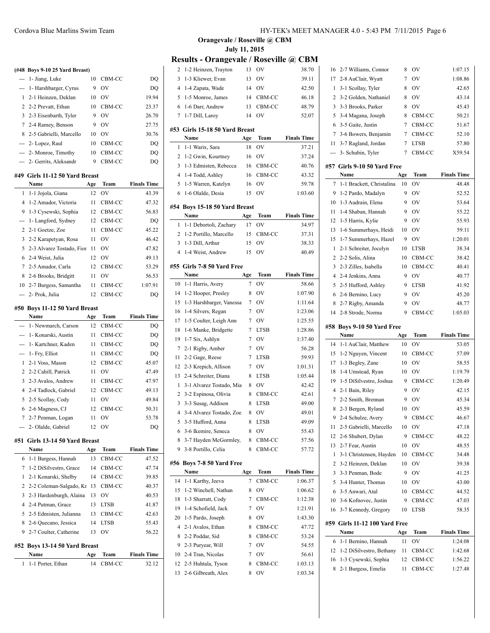|                 | (#48 Boys 9-10 25 Yard Breast)         |     |                     |                    |
|-----------------|----------------------------------------|-----|---------------------|--------------------|
|                 | 1- Jiang, Luke                         | 10  | CBM-CC              | DQ                 |
|                 | 1- Harshbarger, Cyrus                  | 9   | OV                  | DQ                 |
| 1               | 2-1 Heinzen, Deklan                    | 10  | 0V                  | 19.94              |
| 2               | 2-2 Prevatt, Ethan                     | 10  | CBM-CC              | 23.37              |
| 3               | 2-3 Eisenbarth, Tyler                  | 9   | OV                  | 26.70              |
| $7\phantom{.0}$ | 2-4 Ramey, Benson                      | 9   | <b>OV</b>           | 27.75              |
| 8               | 2-5 Gabrielli, Marcello                | 10  | <b>OV</b>           | 30.76              |
|                 | --- 2- Lopez, Raul                     | 10  | CBM-CC              | DQ                 |
|                 | --- 2- Monroe, Timothy                 | 10  | CBM-CC              | DQ                 |
|                 | --- 2- Gerrits, Aleksandr              | 9   | CBM-CC              | DQ                 |
|                 | #49 Girls 11-12 50 Yard Breast         |     |                     |                    |
|                 | Name                                   | Age | Team                | <b>Finals Time</b> |
| 1               | 1-1 Jojola, Giana                      | 12  | OV                  | 43.39              |
| 4               | 1-2 Amador, Victoria                   | 11  | CBM-CC              | 47.32              |
| 9               | 1-3 Cysewski, Sophia                   | 12  | CBM-CC              | 56.83              |
| ---             | 1- Langford, Sydney                    | 12  | CBM-CC              | DQ                 |
| 2               | 2-1 Goetze, Zoe                        | 11  | CBM-CC              | 45.22              |
| 3               | 2-2 Karapetyan, Rosa                   | 11  | OV                  | 46.42              |
| 5               | 2-3 Alvarez Tostado, Fior              | 11  | OV                  | 47.82              |
| 6               | 2-4 Weist, Julia                       | 12  | OV                  | 49.13              |
| 7               | 2-5 Amador, Carla                      | 12  | CBM-CC              | 53.29              |
| 8               | 2-6 Brooks, Bridgitt                   | 11  | OV                  | 56.53              |
| 10              | 2-7 Burgess, Samantha                  | 11  | CBM-CC              | 1:07.91            |
| ---             | 2- Prok, Julia                         | 12  | CBM-CC              | DQ                 |
|                 |                                        |     |                     |                    |
|                 | #50 Boys 11-12 50 Yard Breast<br>Name  | Age | Team                | <b>Finals Time</b> |
| ---             | 1- Newmarch, Carson                    | 12  | CBM-CC              | DQ                 |
|                 | --- 1- Konarski, Austin                | 11  | CBM-CC              |                    |
|                 | --- 1- Kartchner, Kaden                | 11  | CBM-CC              | DQ<br>DQ           |
|                 |                                        | 11  |                     |                    |
| ---<br>1        | 1- Fry, Elliot                         | 12  | CBM-CC              | DQ                 |
| 2               | 2-1 Voss, Mason<br>2-2 Cahill, Patrick | 11  | CBM-CC<br><b>OV</b> | 45.07              |
|                 |                                        |     |                     | 47.49              |
| 3               | 2-3 Avalos, Andrew                     | 11  | CBM-CC              | 47.97              |
| 4               | 2-4 Tadlock, Gabriel                   | 12  | CBM-CC              | 49.13              |
| 5               | 2-5 Scollay, Cody                      | 11  | OV                  | 49.84              |
| 6               | 2-6 Magness, CJ                        | 12  | CBM-CC              | 50.31              |
| 7               | 2-7 Penman, Logan                      | 11  | OV                  | 53.78              |
| ---             | 2- Olalde, Gabriel                     | 12  | OV                  | DQ                 |
| #51             | Girls 13-14 50 Yard Breast             |     |                     |                    |
|                 | Name                                   | Age | Team                | <b>Finals Time</b> |
| 6               | 1-1 Burgess, Hannah                    | 13  | CBM-CC              | 47.52              |
| 7               | 1-2 DiSilvestro, Grace                 | 14  | CBM-CC              | 47.74              |
| 1               | 2.1 Kongreki, Shelby                   |     | $14$ CRM CC         | 30.85              |

| $\mathbf{1}$ | 1-1 Porter, Ethan             | 14    | CBM-CC      | 32.12              |
|--------------|-------------------------------|-------|-------------|--------------------|
|              | Name                          | Age   | Team        | <b>Finals Time</b> |
|              | #52 Boys 13-14 50 Yard Breast |       |             |                    |
|              | 9 2-7 Coulter, Catherine      | 13    | OV          | 56.22              |
|              | 8 2-6 Quecano, Jessica        |       | 14 LTSB     | 55.43              |
|              | 5 2-5 Edmisten, Julianna      | 13    | CBM-CC      | 42.63              |
|              | 4 2-4 Putman, Grace           | 13    | <b>LTSB</b> | 41.87              |
|              | 3 2-3 Hardenburgh, Alaina     | 13    | OV          | 40.53              |
|              | 2 2-2 Coleman-Salgado, Kr     | -13 - | CBM-CC      | 40.37              |
|              | 1 2-1 Konarski, Shelby        |       | 14 CBM-CC   | 39.85              |
|              | 7 1-2 DiSilvestro, Grace      |       | 14 CBM-CC   | 47.74              |
|              |                               |       |             |                    |

 $\overline{\phantom{a}}$ 

 $\equiv$ 

**Orangevale / Roseville @ CBM July 11, 2015**

# **Results - Orangevale / Roseville @ CBM**

| 2              | 1-2 Heinzen, Trayton           | 13  | OV          | 38.70              |
|----------------|--------------------------------|-----|-------------|--------------------|
| 3              | 1-3 Kliewer, Evan              | 13  | OV          | 39.11              |
| 4              | 1-4 Zapata, Wade               | 14  | OV          | 42.50              |
| 5              | 1-5 Monroe, James              | 14  | CBM-CC      | 46.18              |
| 6              | 1-6 Darr, Andrew               | 13  | CBM-CC      | 48.79              |
| 7              | 1-7 Dill, Laroy                | 14  | OV          | 52.07              |
|                |                                |     |             |                    |
|                | #53 Girls 15-18 50 Yard Breast |     |             |                    |
|                | Name                           | Age | Team        | <b>Finals Time</b> |
| 1              | 1-1 Warix, Sara                | 18  | OV          | 37.21              |
| 2              | 1-2 Gwin, Kourtney             | 16  | OV          | 37.24              |
| 3              | 1-3 Edmisten, Rebecca          | 16  | CBM-CC      | 40.76              |
| $\overline{4}$ | 1-4 Todd, Ashley               | 16  | CBM-CC      | 43.32              |
| 5              | 1-5 Warren, Katelyn            | 16  | OV          | 59.78              |
| 6              | 1-6 Olalde, Desia              | 15  | OV          | 1:03.60            |
|                | #54 Boys 15-18 50 Yard Breast  |     |             |                    |
|                | Name                           | Age | Team        | <b>Finals Time</b> |
| 1              | 1-1 Debortoli, Zachary         | 17  | OV          | 34.97              |
| 2              | 1-2 Portillo, Marcello         | 15  | CBM-CC      | 37.31              |
| 3              | 1-3 Dill, Arthur               | 15  | OV          | 38.33              |
| $\overline{4}$ | 1-4 Weist, Andrew              | 15  | OV          | 40.49              |
|                |                                |     |             |                    |
|                | #55   Girls 7-8 50 Yard Free   |     |             |                    |
|                | Name                           | Age | Team        | <b>Finals Time</b> |
| 10             | 1-1 Harris, Avery              | 7   | OV          | 58.66              |
| 14             | 1-2 Hooper, Presley            | 8   | OV          | 1:07.90            |
| 15             | 1-3 Harshbarger, Vanessa       | 7   | OV          | 1:11.64            |
| 16             | 1-4 Silvers, Regan             | 7   | OV          | 1:23.06            |
| 17             | 1-5 Coulter, Leigh Ann         | 7   | OV          | 1:25.55            |
| 18             | 1-6 Manke, Bridgette           | 7   | LTSB        | 1:28.86            |
| 19             | 1-7 Six, Ashlyn                | 7   | OV          | 1:37.40            |
| 7              | 2-1 Rigby, Amber               | 7   | <b>OV</b>   | 56.28              |
| 11             | 2-2 Gage, Reese                | 7   | LTSB        | 59.93              |
| 12             | 2-3 Krepich, Allison           | 7   | OV          | 1:01.31            |
| 13             | 2-4 Schreiter, Diana           | 8   | LTSB        | 1:05.44            |
| 1              | 3-1 Alvarez Tostado, Mia       | 8   | OV          | 42.42              |
| 2              | 3-2 Espinosa, Olivia           | 8   | CBM-CC      | 42.61              |
| 3              | 3-3 Susag, Addison             | 8   | <b>LTSB</b> | 49.00              |
| 4              | 3-4 Alvarez Tostado, Zoe       | 8   | OV          | 49.01              |
| 5              | 3-5 Hufford, Anna              | 8   | <b>LTSB</b> | 49.09              |
| 6              | 3-6 Ikemire, Seneca            | 8   | OV          | 55.43              |
| 8              | 3-7 Hayden McGormley,          | 8   | CBM-CC      | 57.56              |
| 9              | 3-8 Portillo, Celia            | 8   | CBM-CC      | 57.72              |
|                |                                |     |             |                    |
| #56            | Boys 7-8 50 Yard Free          |     |             |                    |
|                | Name                           | Age | Team        | <b>Finals Time</b> |
| 14             | 1-1 Karthy, Jeeva              | 7   | CBM-CC      | 1:06.37            |
| 15             | 1-2 Winchell, Nathan           | 8   | OV          | 1:06.62            |
| 18             | 1-3 Sharratt, Cody             | 7   | CBM-CC      | 1:12.38            |
| 19             | 1-4 Schofield, Jack            | 7   | OV          | 1:21.91            |
| 20             | 1-5 Pardo, Joseph              | 8   | OV          | 1:43.30            |
| 4              | 2-1 Avalos, Ethan              | 8   | CBM-CC      | 47.72              |
| 8              | 2-2 Poddar, Sid                | 8   | CBM-CC      | 53.24              |
| 9              | 2-3 Puryear, Will              | 7   | OV          | 54.55              |
| 10             | 2-4 Tran, Nicolas              | 7   | OV          | 56.61              |
| 12             | 2-5 Huhtala, Tyson             | 8   | CBM-CC      | 1:03.13            |
| 13             | 2-6 Gilbreath, Alex            | 8   | OV          | 1:03.34            |
|                |                                |     |             |                    |

| 16  | 2-7 Williams, Connor      | 8   | OV          | 1:07.15            |  |
|-----|---------------------------|-----|-------------|--------------------|--|
| 17  | 2-8 AuClair, Wyatt        | 7   | OV          | 1:08.86            |  |
| 1   | 3-1 Scollav, Tyler        | 8   | OV          | 42.65              |  |
| 2   | 3-2 Golden, Nathaniel     | 8   | OV          | 43.14              |  |
| 3   | 3-3 Brooks, Parker        | 8   | OV          | 45.43              |  |
| 5   | 3-4 Magana, Joseph        | 8   | CBM-CC      | 50.21              |  |
| 6   | 3-5 Gaite, Justin         | 7   | CBM-CC      | 51.67              |  |
| 7   | 3-6 Bowers, Benjamin      | 7   | CBM-CC      | 52.10              |  |
| 11  | 3-7 Ragland, Jordan       | 7   | <b>LTSB</b> | 57.80              |  |
|     | 3- Schubin, Tyler         | 7   | CBM-CC      | X59.54             |  |
|     |                           |     |             |                    |  |
|     |                           |     |             |                    |  |
| #57 | Girls 9-10 50 Yard Free   |     |             |                    |  |
|     | Name                      | Age | Team        | <b>Finals Time</b> |  |
| 7   | 1-1 Brackett, Christalina | 10  | OV          | 48.48              |  |
| 9   | 1-2 Pardo, Madalyn        | 9   | OV          | 52.52              |  |
| 10  | 1-3 Audrain, Elena        | 9   | OV          | 53.64              |  |
| 11  | 1-4 Shaban, Hannah        | 9   | OV          | 55.22              |  |
| 12  | 1-5 Harris, Kylie         | 9   | OV          | 55.93              |  |
| 13  | 1-6 Summerhays, Heidi     | 10  | OV          | 59.11              |  |
| 15  | 1-7 Summerhays, Hazel     | 9   | OV          | 1:20.01            |  |
| 1   | 2-1 Schreiter, Jocelyn    | 10  | <b>LTSB</b> | 38.34              |  |
| 2   | 2-2 Solis, Alina          | 10  | CBM-CC      | 38.42              |  |

 2-4 Jenkins, Anna 9 OV 40.77 2-5 Hufford, Ashley 9 LTSB 41.92 2-6 Bernino, Lucy 9 OV 45.20 2-7 Rigby, Amanda 9 OV 48.77 14 2-8 Strode, Norma 9 CBM-CC 1:05.03

|                | #58 Boys 9-10 50 Yard Free    |     |             |                    |  |  |
|----------------|-------------------------------|-----|-------------|--------------------|--|--|
|                | Name                          | Age | Team        | <b>Finals Time</b> |  |  |
| 14             | 1-1 AuClair, Matthew          | 10  | OV          | 53.05              |  |  |
| 15             | 1-2 Nguyen, Vincent           | 10  | CBM-CC      | 57.09              |  |  |
| 17             | 1-3 Begley, Zane              | 10  | OV          | 58.55              |  |  |
| 18             | 1-4 Umstead, Ryan             | 10  | OV          | 1:19.79            |  |  |
| 19             | 1-5 DiSilvestro, Joshua       | 9   | CBM-CC      | 1:20.49            |  |  |
| 4              | 2-1 Bain, Riley               | 9   | OV          | 42.15              |  |  |
| 7              | 2-2 Smith, Brennan            | 9   | OV          | 45.34              |  |  |
| 8              | 2-3 Bergen, Ryland            | 10  | OV          | 45.59              |  |  |
| 9              | 2-4 Schulze, Avery            | 9   | CBM-CC      | 46.67              |  |  |
| 11             | 2-5 Gabrielli, Marcello       | 10  | OV          | 47.18              |  |  |
| 12             | 2-6 Shubert, Dylan            | 9   | CBM-CC      | 48.22              |  |  |
| 13             | 2-7 Fear, Austin              | 10  | OV          | 48.55              |  |  |
| 1              | 3-1 Christensen, Hayden       | 10  | CBM-CC      | 34.48              |  |  |
| $\mathfrak{D}$ | 3-2 Heinzen, Deklan           | 10  | OV          | 39.38              |  |  |
| 3              | 3-3 Penman, Bode              | 9   | OV          | 41.25              |  |  |
| 5              | 3-4 Hunter, Thomas            | 10  | OV          | 43.00              |  |  |
| 6              | 3-5 Anwari, Atal              | 10  | CBM-CC      | 44.52              |  |  |
| 10             | 3-6 Kofnovec, Justin          | 9   | CBM-CC      | 47.03              |  |  |
| 16             | 3-7 Kennedy, Gregory          | 10  | <b>LTSB</b> | 58.35              |  |  |
|                | #59 Girls 11-12 100 Yard Free |     |             |                    |  |  |
|                | Name                          | Age | Team        | <b>Finals Time</b> |  |  |
| 6              | 1-1 Bernino, Hannah           | 11  | OV          | 1:24.08            |  |  |
| 12             | 1-2 DiSilvestro, Bethany      | 11  | CBM-CC      | 1:42.68            |  |  |

 1-3 Cysewski, Sophia 12 CBM-CC 1:56.22 2-1 Burgess, Emelia 11 CBM-CC 1:27.48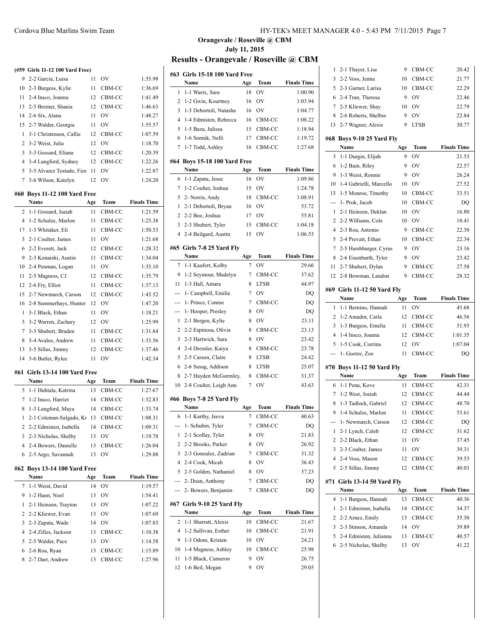|                | (#59 Girls 11-12 100 Yard Free)   |          |                  |                    |
|----------------|-----------------------------------|----------|------------------|--------------------|
| 9              | 2-2 Garcia, Luisa                 | 11       | OV               | 1:35.98            |
| 10             | 2-3 Burgess, Kylie                | 11       | CBM-CC           | 1:36.69            |
| 11             | 2-4 Insco, Joanna                 | 12       | CBM-CC           | 1:41.49            |
| 13             | 2-5 Bremer, Shania                | 12       | CBM-CC           | 1:46.63            |
| 14             | 2-6 Six, Alana                    | 11       | <b>OV</b>        | 1:48.27            |
| 15             | 2-7 Walder, Georgia               | 11       | <b>OV</b>        | 1:55.57            |
| 1              | 3-1 Christensen, Callie           | 12       | CBM-CC           | 1:07.59            |
| 2              | 3-2 Weist, Julia                  | 12       | <b>OV</b>        | 1:18.70            |
| 3              | 3-3 Gossard, Eliana               | 12       | CBM-CC           | 1:20.39            |
| 4              | 3-4 Langford, Sydney              | 12       | CBM-CC           | 1:22.26            |
| 5              | 3-5 Alvarez Tostado, Fior         | 11       | OV               | 1:22.87            |
| 7              | 3-6 Wilson, Katelyn               | 12       | OV               | 1:24.20            |
| #60            | <b>Boys 11-12 100 Yard Free</b>   |          |                  |                    |
|                | Name                              | Age      | Team             | <b>Finals Time</b> |
| 2              | 1-1 Gossard, Isaiah               | 11       | CBM-CC           | 1:21.59            |
| 4              | 1-2 Schulze, Marlon               | 11       | CBM-CC           | 1:23.38            |
| 17             | 1-3 Whitaker, Eli                 | 11       | CBM-CC           | 1:50.53            |
| 3              | 2-1 Coulter, James                | 11       | O <sub>V</sub>   | 1:21.68            |
| 6              | 2-2 Everett, Jack                 | 12       | CBM-CC           | 1:28.32            |
| 9              | 2-3 Konarski, Austin              | 11       | CBM-CC           | 1:34.04            |
| 10             | 2-4 Penman, Logan                 | 11       | OV               | 1:35.10            |
| 11             | 2-5 Magness, CJ                   | 12       | CBM-CC           | 1:35.79            |
| 12             | 2-6 Fry, Elliot                   | 11       | CBM-CC           | 1:37.13            |
| 15             | 2-7 Newmarch, Carson              | 12       | CBM-CC           | 1:43.52            |
| 16             | 2-8 Summerhays, Hunter            | 12       | OV               | 1:47.20            |
| 1              | 3-1 Black, Ethan                  | 11       | <b>OV</b>        | 1:18.21            |
| 5              | 3-2 Warren, Zachary               | 12       | <b>OV</b>        | 1:25.99            |
| 7              | 3-3 Shubert, Braden               | 11       | CBM-CC           | 1:31.84            |
| 8              | 3-4 Avalos, Andrew                | 11       | CBM-CC           | 1:33.56            |
| 13             | 3-5 Sillas, Jimmy                 | 12       | CBM-CC           | 1:37.46            |
| 14             | 3-6 Butler, Rylee                 | 11       | OV               | 1:42.34            |
|                |                                   |          |                  |                    |
| #61            | Girls 13-14 100 Yard Free<br>Name |          |                  |                    |
|                |                                   | Age      | Team             | <b>Finals Time</b> |
| 5              | 1-1 Huhtala, Katrina              | 13<br>14 | CBM-CC<br>CBM-CC | 1:27.67            |
| 7              | 1-2 Insco, Harriet                |          | CBM-CC           | 1:32.83            |
| 8              | 1-3 Langford, Maya                | 14       |                  | 1:33.74            |
| $\mathbf{1}$   | 2-1 Coleman-Salgado, Kr 13 CBM-CC |          |                  | 1:08.31            |
| 2              | 2-2 Edmisten, Isabella            | 14       | CBM-CC           | 1:09.31            |
| 3              | 2-3 Nicholas, Shelby              | 13       | OV               | 1:19.78            |
| $\overline{4}$ | 2-4 Bowers, Danielle              | 13       | CBM-CC           | 1:26.04            |
| 6              | 2-5 Argo, Savannah                | 13       | OV               | 1:29.88            |
|                | #62 Boys 13-14 100 Yard Free      |          |                  |                    |
|                | Name                              | Age      | Team             | <b>Finals Time</b> |
| 7              | 1-1 Weist, David                  | 14       | OV               | 1:19.57            |
| 9              | 1-2 Hann, Noel                    | 13       | OV               | 1:54.41            |
| 1              | 2-1 Heinzen, Trayton              | 13       | OV               | 1:07.22            |
| 2              | 2-2 Kliewer, Evan                 | 13       | <b>OV</b>        | 1:07.69            |
| 3              | 2-3 Zapata, Wade                  | 14       | OV               | 1:07.83            |
| 4              | 2-4 Zilles, Jackson               | 13       | CBM-CC           | 1:10.38            |
| 5              | 2-5 Walder, Pace                  | 13       | OV               | 1:14.58            |
| 6              | 2-6 Roa, Ryan                     | 13       | CBM-CC           | 1:15.89            |
| 8              | 2-7 Darr, Andrew                  | 13       | CBM-CC           | 1:27.96            |
|                |                                   |          |                  |                    |

## Cordova Blue Marlins Swim Team HY-TEK's MEET MANAGER 4.0 - 5:43 PM 7/11/2015 Page 7

## **Orangevale / Roseville @ CBM July 11, 2015 Results - Orangevale / Roseville @ CBM**

| #63            | <b>Girls 15-18 100 Yard Free</b>  |          |                       |                    |
|----------------|-----------------------------------|----------|-----------------------|--------------------|
|                | Name                              | Age      | Team                  | <b>Finals Time</b> |
| 1              | 1-1 Warix, Sara                   | 18       | OV                    | 1:00.90            |
| 2              | 1-2 Gwin, Kourtney                | 16       | OV                    | 1:03.94            |
| 3              | 1-3 Debortoli, Natasha            | 16       | OV                    | 1:04.77            |
| 4              | 1-4 Edmisten, Rebecca             | 16       | CBM-CC                | 1:08.22            |
| 5              | 1-5 Baza, Julissa                 | 15       | CBM-CC                | 1:18.94            |
| 6              | 1-6 Sonnik, Nelli                 | 17       | CBM-CC                | 1:19.72            |
| 7              | 1-7 Todd, Ashley                  | 16       | CBM-CC                | 1:27.68            |
| #64            | <b>Boys 15-18 100 Yard Free</b>   |          |                       |                    |
|                | Name                              | Age      | Team                  | <b>Finals Time</b> |
| 6              | 1-1 Zapata, Jesse                 | 16       | OV                    | 1:09.86            |
| 7              | 1-2 Coulter, Joshua               | 15       | OV                    | 1:24.78            |
| 5              | 2- Norris, Andy                   | 18       | CBM-CC                | 1:08.91            |
| 1              | 2-1 Debortoli, Bryan              | 16       | OV                    | 53.72              |
| 2              | 2-2 Boe, Joshua                   | 17       | OV                    | 55.81              |
| 3              | 2-3 Shubert, Tyler                | 15       | CBM-CC                | 1:04.18            |
| $\overline{4}$ | 2-4 Beilgard, Austin              | 15       | OV                    | 1:06.53            |
|                |                                   |          |                       |                    |
|                | #65 Girls 7-8 25 Yard Fly<br>Name |          | Team                  | <b>Finals Time</b> |
| 7              | 1-1 Kaufert, Kolby                | Age<br>7 | OV                    | 29.66              |
| 9              | 1-2 Seymour, Madelyn              | 7        |                       | 37.62              |
| 11             |                                   | 8        | CBM-CC<br><b>LTSB</b> |                    |
|                | 1-3 Hall, Amara                   |          | OV                    | 44.97              |
| ---            | 1- Campbell, Emilie               | 7        |                       | DQ                 |
| ---            | 1- Prince, Connie                 | 7        | CBM-CC                | DQ                 |
| ---            | 1- Hooper, Presley                | 8        | OV                    | DQ                 |
| 1<br>2         | 2-1 Bergen, Kylie                 | 8        | OV                    | 23.11              |
|                | 2-2 Espinosa, Olivia              | 8        | CBM-CC                | 23.13              |
| 3<br>4         | 2-3 Hartwick, Sara                | 8        | OV                    | 23.42              |
|                | 2-4 Dressler, Kaiya               | 8        | CBM-CC                | 23.78              |
| 5              | 2-5 Carson, Claire                | 8        | LTSB                  | 24.42              |
| 6              | 2-6 Susag, Addison                | 8        | LTSB                  | 25.07              |
| 8              | 2-7 Hayden McGormley,             | 8        | CBM-CC<br>OV          | 31.37              |
| 10             | 2-8 Coulter, Leigh Ann            | 7        |                       | 43.63              |
|                | #66 Boys 7-8 25 Yard Fly          |          |                       |                    |
|                | Name                              | Age      | Team                  | <b>Finals Time</b> |
| 6              | 1-1 Karthy, Jeeva                 | 7        | CBM-CC                | 40.63              |
|                | 1- Schubin, Tyler                 | 7        | CBM-CC                | DQ                 |
| 1              | 2-1 Scollay, Tyler                | 8        | OV                    | 21.83              |
| 2              | 2-2 Brooks, Parker                | 8        | OV                    | 26.92              |
| 3              | 2-3 Gonzalez, Zadrian             | 7        | CBM-CC                | 31.32              |
| 4              | 2-4 Cook, Micah                   | 8        | OV                    | 36.43              |
| 5              | 2-5 Golden, Nathaniel             | 8        | OV                    | 37.23              |
| ---            | 2- Doan, Anthony                  | 7        | CBM-CC                | DQ                 |
| ---            | 2- Bowers, Benjamin               | 7        | CBM-CC                | DQ                 |
|                | #67 Girls 9-10 25 Yard Fly        |          |                       |                    |
|                | Name                              | Age      | Team                  | <b>Finals Time</b> |
| 2              | 1-1 Sharratt, Alexis              | 10       | CBM-CC                | 21.67              |
| 4              | 1-2 Sullivan, Esther              | 10       | CBM-CC                | 21.91              |
| 9              | 1-3 Odom, Kristen                 | 10       | OV                    | 24.21              |
| 10             | 1-4 Magness, Ashley               | 10       | CBM-CC                | 25.98              |
| 11             | 1-5 Black, Cameron                | 9        | OV                    | 26.75              |
| 12             | 1-6 Beil, Megan                   | 9        | OV                    | 29.05              |
|                |                                   |          |                       |                    |

| 1   | 2-1 Thayer, Lisa                   | 9   | CBM-CC           | 20.42              |
|-----|------------------------------------|-----|------------------|--------------------|
| 3   | 2-2 Voss, Jenna                    | 10  | CBM-CC           | 21.77              |
| 5   | 2-3 Garner, Larisa                 | 10  | CBM-CC           | 22.29              |
| 6   | 2-4 Tran, Theresa                  | 9   | OV               | 22.46              |
| 7   | 2-5 Kliewer, Shay                  | 10  | OV               | 22.79              |
| 8   | 2-6 Roberts, Shelbie               | 9   | OV               | 22.84              |
| 13  | 2-7 Wagner, Alexis                 | 9   | LTSB             | 30.77              |
|     |                                    |     |                  |                    |
|     | #68 Boys 9-10 25 Yard Fly<br>Name  | Age | Team             | <b>Finals Time</b> |
| 3   | 1-1 Durgin, Elijah                 | 9   | O <sub>V</sub>   | 21.53              |
| 6   | 1-2 Bain, Riley                    | 9   | OV               | 22.57              |
| 9   | 1-3 Weist, Ronnie                  | 9   | OV               | 26.24              |
| 10  | 1-4 Gabrielli, Marcello            | 10  | OV               | 27.52              |
| 13  | 1-5 Monroe, Timothy                | 10  | CBM-CC           | 33.51              |
| --- | 1- Prok, Jacob                     | 10  | CBM-CC           | DQ                 |
| 1   | 2-1 Heinzen, Deklan                | 10  | OV               | 16.80              |
| 2   | 2-2 Williams, Cole                 | 10  | OV               | 18.41              |
| 4   | 2-3 Roa, Antonio                   | 9   | CBM-CC           | 22.30              |
| 5   | 2-4 Prevatt, Ethan                 | 10  | CBM-CC           | 22.34              |
| 7   | 2-5 Harshbarger, Cyrus             | 9   | OV               | 23.16              |
| 8   | 2-6 Eisenbarth, Tyler              | 9   | OV               | 23.42              |
| 11  | 2-7 Shubert, Dylan                 | 9   | CBM-CC           | 27.58              |
| 12  | 2-8 Bowman, Landon                 | 9   | CBM-CC           | 28.32              |
|     |                                    |     |                  |                    |
|     | #69 Girls 11-12 50 Yard Fly        |     |                  |                    |
|     | Name                               | Age | Team             | <b>Finals Time</b> |
| 1   | 1-1 Bernino, Hannah                | 11  | OV               | 45.68              |
|     |                                    |     |                  |                    |
| 2   | 1-2 Amador, Carla                  | 12  | CBM-CC           | 46.56              |
| 3   | 1-3 Burgess, Emelia                | 11  | CBM-CC           | 51.93              |
| 4   | 1-4 Insco, Joanna                  | 12  | CBM-CC           | 1:01.35            |
| 5   | 1-5 Cook, Corrina                  | 12  | OV               | 1:07.04            |
| --- | 1- Goetze, Zoe                     | 11  | CBM-CC           | DQ                 |
|     |                                    |     |                  |                    |
|     | #70 Boys 11-12 50 Yard Fly<br>Name | Age | Team             | <b>Finals Time</b> |
| 6   | 1-1 Pena, Kove                     | 11  | CBM-CC           | 42.31              |
| 7   | 1-2 West, Josiah                   | 12  | CBM-CC           | 44.44              |
| 8   | 1-3 Tadlock. Gabriel               | 12  | CBM-CC           | 48.70              |
| 9   | 1-4 Schulze, Marlon                | 11  | CBM-CC           | 55.61              |
|     | 1- Newmarch, Carson                | 12  |                  | DQ                 |
| 1   | 2-1 Lynch, Caleb                   | 12  | CBM-CC<br>CBM-CC | 31.62              |
| 2   | 2-2 Black, Ethan                   | 11  | OV               | 37.45              |
| 3   | 2-3 Coulter, James                 | 11  | OV               | 39.31              |
| 4   | 2-4 Voss, Mason                    | 12  | CBM-CC           | 39.53              |
| 5   | 2-5 Sillas, Jimmy                  | 12  | CBM-CC           | 40.03              |
|     |                                    |     |                  |                    |
| #71 | <b>Girls 13-14 50 Yard Fly</b>     |     |                  |                    |
|     | Name                               | Age | Team             | <b>Finals Time</b> |
| 4   | 1-1 Burgess, Hannah                | 13  | CBM-CC           | 40.36              |
| 1   | 2-1 Edmisten, Isabella             | 14  | CBM-CC           | 34.37              |
| 2   | 2-2 Arnez, Emily                   | 13  | CBM-CC           | 35.30              |
| 3   | 2-3 Stinson, Amanda                | 14  | OV               | 39.89              |
| 5   | 2-4 Edmisten, Julianna             | 13  | CBM-CC           | 40.57              |
| 6   | 2-5 Nicholas, Shelby               | 13  | OV               | 41.22              |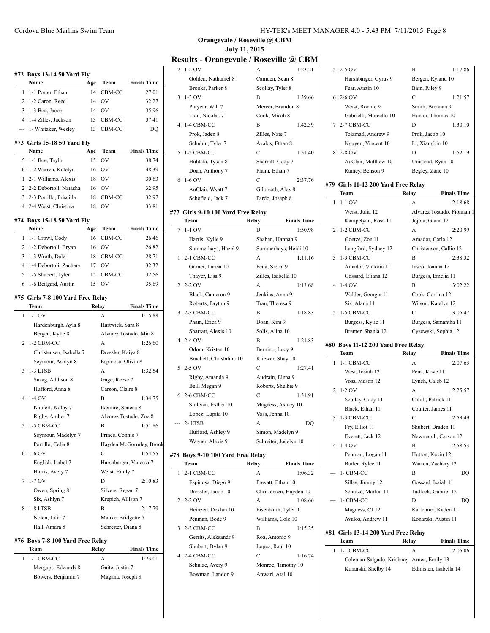|                            | #72 Boys 13-14 50 Yard Fly          |                            |                    |                         |  |  |
|----------------------------|-------------------------------------|----------------------------|--------------------|-------------------------|--|--|
|                            | Name                                | Team<br><b>Finals Time</b> |                    |                         |  |  |
| 1                          | 1-1 Porter, Ethan                   | 14                         | CBM-CC             | 27.01                   |  |  |
| $\overline{2}$             | 1-2 Caron, Reed                     | 14                         | OV                 | 32.27                   |  |  |
|                            | 3 1-3 Boe, Jacob                    | 14                         | OV                 | 35.96                   |  |  |
| 4                          | 1-4 Zilles, Jackson                 | 13                         | CBM-CC             | 37.41                   |  |  |
|                            | 1- Whitaker, Wesley                 | 13                         | CBM-CC             | DO                      |  |  |
|                            |                                     |                            |                    |                         |  |  |
|                            | #73 Girls 15-18 50 Yard Fly<br>Name |                            | Team               | <b>Finals Time</b>      |  |  |
| 5                          | 1-1 Boe, Taylor                     | Age<br>15                  | OV                 | 38.74                   |  |  |
| 6                          | 1-2 Warren, Katelyn                 | 16                         | OV                 | 48.39                   |  |  |
| 1                          | 2-1 Williams, Alexis                | 18                         | OV                 | 30.63                   |  |  |
| 2                          | 2-2 Debortoli, Natasha              | 16                         | OV                 | 32.95                   |  |  |
| 3                          | 2-3 Portillo, Priscilla             | 18                         | CBM-CC             | 32.97                   |  |  |
|                            | 4 2-4 Weist, Christina              | 18                         | OV                 | 33.81                   |  |  |
|                            |                                     |                            |                    |                         |  |  |
| #74 Boys 15-18 50 Yard Fly |                                     |                            |                    |                         |  |  |
|                            | Name                                | Age                        | Team               | <b>Finals Time</b>      |  |  |
| 1                          | 1-1 Crowl, Cody                     | 16                         | CBM-CC             | 26.46                   |  |  |
| 2                          | 1-2 Debortoli, Bryan                | 16                         | <b>OV</b>          | 26.82                   |  |  |
| 3                          | 1-3 Wroth, Dale                     | 18                         | CBM-CC             | 28.71                   |  |  |
| 4                          | 1-4 Debortoli, Zachary              | 17                         | <b>OV</b>          | 32.32                   |  |  |
| 5                          | 1-5 Shubert, Tyler                  | 15                         | CBM-CC             | 32.56                   |  |  |
| 6                          | 1-6 Beilgard, Austin                | 15                         | OV                 | 35.69                   |  |  |
|                            | #75 Girls 7-8 100 Yard Free Relay   |                            |                    |                         |  |  |
|                            | Team                                |                            | Relay              | <b>Finals Time</b>      |  |  |
| 1                          | $1-1$ OV                            |                            | A                  | 1:15.88                 |  |  |
|                            | Hardenburgh, Ayla 8                 |                            | Hartwick, Sara 8   |                         |  |  |
|                            | Bergen, Kylie 8                     |                            |                    | Alvarez Tostado, Mia 8  |  |  |
| 2                          | 1-2 CBM-CC                          |                            | A                  | 1:26.60                 |  |  |
|                            | Christensen, Isabella 7             |                            | Dressler, Kaiya 8  |                         |  |  |
|                            | Seymour, Ashlyn 8                   |                            | Espinosa, Olivia 8 |                         |  |  |
| 3                          | 1-3 LTSB                            |                            | A                  | 1:32.54                 |  |  |
|                            | Susag, Addison 8                    |                            | Gage, Reese 7      |                         |  |  |
|                            | Hufford, Anna 8                     |                            | Carson, Claire 8   |                         |  |  |
| 4                          | 1-4 OV                              |                            | B                  | 1:34.75                 |  |  |
|                            | Kaufert, Kolby 7                    |                            | Ikemire, Seneca 8  |                         |  |  |
|                            | Rigby, Amber 7                      |                            |                    | Alvarez Tostado, Zoe 8  |  |  |
|                            | 5 1-5 CBM-CC                        |                            | В                  | 1:51.86                 |  |  |
|                            | Seymour, Madelyn 7                  |                            | Prince, Connie 7   |                         |  |  |
|                            | Portillo, Celia 8                   |                            |                    | Hayden McGormley, Brook |  |  |
| 6                          | 1-6 OV                              |                            | C<br>1:54.55       |                         |  |  |
|                            | English, Isabel 7                   |                            |                    | Harshbarger, Vanessa 7  |  |  |
|                            | Harris, Avery 7                     |                            | Weist, Emily 7     |                         |  |  |
| 7                          | $1-7$ OV                            |                            | D                  | 2:10.83                 |  |  |
|                            | Owen, Spring 8                      |                            | Silvers, Regan 7   |                         |  |  |
|                            | Six, Ashlyn 7                       |                            | Krepich, Allison 7 |                         |  |  |
| 8                          | 1-8 LTSB                            |                            | B                  | 2:17.79                 |  |  |
|                            | Nolen, Julia 7                      |                            | Manke, Bridgette 7 |                         |  |  |
|                            | Hall, Amara 8                       |                            | Schreiter, Diana 8 |                         |  |  |
|                            |                                     |                            |                    |                         |  |  |
|                            | #76 Boys 7-8 100 Yard Free Relay    |                            |                    |                         |  |  |

| Team               | Relay            | <b>Finals Time</b> |
|--------------------|------------------|--------------------|
| 1 1-1 CBM-CC       | А                | 1:23.01            |
| Mergups, Edwards 8 | Gaite, Justin 7  |                    |
| Bowers, Benjamin 7 | Magana, Joseph 8 |                    |

**Orangevale / Roseville @ CBM July 11, 2015**

## **Results - Orangevale / Roseville @ CBM**

| 2 1-2 OV                           | A<br>1:23.21                |    | 5 2-5 OV                                  | B                  | 1:17.86                    |
|------------------------------------|-----------------------------|----|-------------------------------------------|--------------------|----------------------------|
| Golden, Nathaniel 8                | Camden, Sean 8              |    | Harshbarger, Cyrus 9                      | Bergen, Ryland 10  |                            |
| Brooks, Parker 8                   | Scollay, Tyler 8            |    | Fear, Austin 10                           | Bain, Riley 9      |                            |
| $3 - 1 - 3$ OV                     | B<br>1:39.66                |    | $62-6$ OV                                 | $\mathbf C$        | 1:21.57                    |
| Puryear, Will 7                    | Mercer, Brandon 8           |    | Weist, Ronnie 9                           | Smith, Brennan 9   |                            |
| Tran, Nicolas 7                    | Cook, Micah 8               |    | Gabrielli, Marcello 10                    | Hunter, Thomas 10  |                            |
| 4 1-4 CBM-CC                       |                             |    |                                           |                    |                            |
|                                    | B<br>1:42.39                |    | 7 2-7 CBM-CC                              | D                  | 1:30.10                    |
| Prok, Jaden 8                      | Zilles, Nate 7              |    | Tolamatl, Andrew 9                        | Prok, Jacob 10     |                            |
| Schubin, Tyler 7                   | Avalos, Ethan 8             |    | Nguyen, Vincent 10                        | Li, Xiangbin 10    |                            |
| 5 1-5 CBM-CC                       | C<br>1:51.40                |    | 8 2-8 OV                                  | D                  | 1:52.19                    |
| Huhtala, Tyson 8                   | Sharratt, Cody 7            |    | AuClair, Matthew 10                       | Umstead, Ryan 10   |                            |
| Doan, Anthony 7                    | Pham, Ethan 7               |    | Ramey, Benson 9                           | Begley, Zane 10    |                            |
| $6\;1-6\;0V$                       | $\mathcal{C}$<br>2:37.76    |    |                                           |                    |                            |
| AuClair, Wyatt 7                   | Gilbreath, Alex 8           |    | #79 Girls 11-12 200 Yard Free Relay       |                    |                            |
| Schofield, Jack 7                  | Pardo, Joseph 8             |    | Team                                      | Relay              | <b>Finals Time</b>         |
|                                    |                             |    | $1 - 1 - 1$ OV                            | A                  | 2:18.68                    |
| #77 Girls 9-10 100 Yard Free Relay |                             |    | Weist, Julia 12                           |                    | Alvarez Tostado, Fionnah 1 |
| Team                               | <b>Finals Time</b><br>Relay |    | Karapetyan, Rosa 11                       | Jojola, Giana 12   |                            |
| 7 1-1 OV                           | D<br>1:50.98                |    | 2 1-2 CBM-CC                              | A                  | 2:20.99                    |
| Harris, Kylie 9                    | Shaban, Hannah 9            |    | Goetze, Zoe 11                            | Amador, Carla 12   |                            |
| Summerhays, Hazel 9                | Summerhays, Heidi 10        |    | Langford, Sydney 12                       |                    | Christensen, Callie 12     |
| 1 2-1 CBM-CC                       | A<br>1:11.16                |    | 3 1-3 CBM-CC                              | B                  | 2:38.32                    |
| Garner, Larisa 10                  | Pena, Sierra 9              |    | Amador, Victoria 11                       | Insco, Joanna 12   |                            |
| Thayer, Lisa 9                     | Zilles, Isabella 10         |    | Gossard, Eliana 12                        | Burgess, Emelia 11 |                            |
| 2 2-2 OV                           | A<br>1:13.68                |    | 4 1-4 OV                                  | B                  | 3:02.22                    |
| Black, Cameron 9                   |                             |    |                                           |                    |                            |
|                                    | Jenkins, Anna 9             |    | Walder, Georgia 11                        | Cook, Corrina 12   |                            |
| Roberts, Payton 9                  | Tran, Theresa 9             |    | Six, Alana 11                             | Wilson, Katelyn 12 |                            |
| 3 2-3 CBM-CC                       | B<br>1:18.83                |    | 5 1-5 CBM-CC                              | C                  | 3:05.47                    |
| Pham, Erica 9                      | Doan, Kim 9                 |    | Burgess, Kylie 11                         |                    | Burgess, Samantha 11       |
| Sharratt, Alexis 10                | Solis, Alina 10             |    | Bremer, Shania 12                         |                    | Cysewski, Sophia 12        |
| 4 2-4 OV                           | B<br>1:21.83                |    | #80 Boys 11-12 200 Yard Free Relay        |                    |                            |
| Odom, Kristen 10                   | Bernino, Lucy 9             |    | Team                                      | Relay              | <b>Finals Time</b>         |
| Brackett, Christalina 10           | Kliewer, Shay 10            |    |                                           |                    |                            |
| 5 2-5 OV                           | C<br>1:27.41                |    | 1 1-1 CBM-CC                              | A                  | 2:07.63                    |
| Rigby, Amanda 9                    | Audrain, Elena 9            |    | West, Josiah 12                           | Pena, Kove 11      |                            |
| Beil, Megan 9                      | Roberts, Shelbie 9          |    | Voss, Mason 12                            | Lynch, Caleb 12    |                            |
| 6 2-6 CBM-CC                       | C<br>1:31.91                |    | 2 1-2 OV                                  | A                  | 2:25.57                    |
| Sullivan, Esther 10                | Magness, Ashley 10          |    | Scollay, Cody 11                          | Cahill, Patrick 11 |                            |
|                                    |                             |    | Black, Ethan 11                           | Coulter, James 11  |                            |
| Lopez, Lupita 10                   | Voss, Jenna 10              |    | 3 1-3 CBM-CC                              | C                  | 2:53.49                    |
| $-2$ -LTSB                         | А                           | DO | Fry, Elliot 11                            | Shubert, Braden 11 |                            |
| Hufford, Ashley 9                  | Simon, Madelyn 9            |    | Everett, Jack 12                          |                    | Newmarch, Carson 12        |
| Wagner, Alexis 9                   | Schreiter, Jocelyn 10       |    | 4 1-4 OV                                  | B                  | 2:58.53                    |
| #78 Boys 9-10 100 Yard Free Relay  |                             |    | Penman, Logan 11                          | Hutton, Kevin 12   |                            |
| Team                               | Relay<br><b>Finals Time</b> |    | Butler, Rylee 11                          |                    | Warren, Zachary 12         |
| 1 2-1 CBM-CC                       | A<br>1:06.32                |    | --- 1- CBM-CC                             | B                  | DQ                         |
| Espinosa, Diego 9                  | Prevatt, Ethan 10           |    | Sillas, Jimmy 12                          | Gossard, Isaiah 11 |                            |
|                                    |                             |    |                                           |                    |                            |
| Dressler, Jacob 10                 | Christensen, Hayden 10      |    | Schulze, Marlon 11                        |                    | Tadlock, Gabriel 12        |
| 2 2-2 OV                           | A<br>1:08.66                |    | --- 1- CBM-CC                             | D                  | DQ                         |
| Heinzen, Deklan 10                 | Eisenbarth, Tyler 9         |    | Magness, CJ 12                            |                    | Kartchner, Kaden 11        |
| Penman, Bode 9                     | Williams, Cole 10           |    | Avalos, Andrew 11                         |                    | Konarski, Austin 11        |
| 3 2-3 CBM-CC                       | B<br>1:15.25                |    | #81 Girls 13-14 200 Yard Free Relay       |                    |                            |
| Gerrits, Aleksandr 9               | Roa, Antonio 9              |    |                                           |                    |                            |
| Shubert, Dylan 9                   | Lopez, Raul 10              |    | Team                                      | Relay              | <b>Finals Time</b>         |
| 4 2-4 CBM-CC                       | C<br>1:16.74                |    | 1 1-1 CBM-CC                              | A                  | 2:05.06                    |
| Schulze, Avery 9                   | Monroe, Timothy 10          |    | Coleman-Salgado, Krishnay Arnez, Emily 13 |                    |                            |
| Bowman, Landon 9                   | Anwari, Atal 10             |    | Konarski, Shelby 14                       |                    | Edmisten, Isabella 14      |
|                                    |                             |    |                                           |                    |                            |
|                                    |                             |    |                                           |                    |                            |